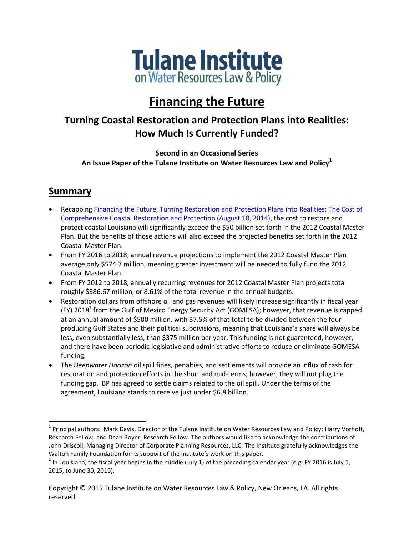

# **Financing the Future**

# **Turning Coastal Restoration and Protection Plans into Realities: How Much Is Currently Funded?**

**Second in an Occasional Series An Issue Paper of the Tulane Institute on Water Resources Law and Policy<sup>1</sup>**

# **Summary**

- Recapping [Financing the Future, Turning Restoration and Protection Plans into](http://www.law.tulane.edu/uploadedFiles/Institutes_and_Centers/Water_Resources_Law_and_Policy/Content/Financing%20the%20Future%20Pt%201--The%20Cost.pdf) Realities: The Cost of [Comprehensive Coastal Restoration and Protection \(August 18, 2014\),](http://www.law.tulane.edu/uploadedFiles/Institutes_and_Centers/Water_Resources_Law_and_Policy/Content/Financing%20the%20Future%20Pt%201--The%20Cost.pdf) the cost to restore and protect coastal Louisiana will significantly exceed the \$50 billion set forth in the 2012 Coastal Master Plan. But the benefits of those actions will also exceed the projected benefits set forth in the 2012 Coastal Master Plan.
- From FY 2016 to 2018, annual revenue projections to implement the 2012 Coastal Master Plan average only \$574.7 million, meaning greater investment will be needed to fully fund the 2012 Coastal Master Plan.
- From FY 2012 to 2018, annually recurring revenues for 2012 Coastal Master Plan projects total roughly \$386.67 million, or 8.61% of the total revenue in the annual budgets.
- Restoration dollars from offshore oil and gas revenues will likely increase significantly in fiscal year (FY) 2018<sup>2</sup> from the Gulf of Mexico Energy Security Act (GOMESA); however, that revenue is capped at an annual amount of \$500 million, with 37.5% of that total to be divided between the four producing Gulf States and their political subdivisions, meaning that Louisiana's share will always be less, even substantially less, than \$375 million per year. This funding is not guaranteed, however, and there have been periodic legislative and administrative efforts to reduce or eliminate GOMESA funding.
- The *Deepwater Horizon* oil spill fines, penalties, and settlements will provide an influx of cash for restoration and protection efforts in the short and mid-terms; however, they will not plug the funding gap. BP has agreed to settle claims related to the oil spill. Under the terms of the agreement, Louisiana stands to receive just under \$6.8 billion.

<sup>&</sup>lt;sup>1</sup> Principal authors: Mark Davis, Director of the Tulane Institute on Water Resources Law and Policy; Harry Vorhoff, Research Fellow; and Dean Boyer, Research Fellow. The authors would like to acknowledge the contributions of John Driscoll, Managing Director of Corporate Planning Resources, LLC. The Institute gratefully acknowledges the Walton Family Foundation for its support of the Institute's work on this paper.

<sup>&</sup>lt;sup>2</sup> In Louisiana, the fiscal year begins in the middle (July 1) of the preceding calendar year (e.g. FY 2016 is July 1, 2015, to June 30, 2016).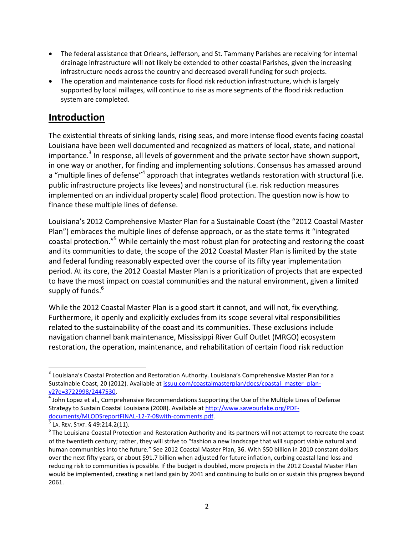- The federal assistance that Orleans, Jefferson, and St. Tammany Parishes are receiving for internal drainage infrastructure will not likely be extended to other coastal Parishes, given the increasing infrastructure needs across the country and decreased overall funding for such projects.
- The operation and maintenance costs for flood risk reduction infrastructure, which is largely supported by local millages, will continue to rise as more segments of the flood risk reduction system are completed.

# **Introduction**

The existential threats of sinking lands, rising seas, and more intense flood events facing coastal Louisiana have been well documented and recognized as matters of local, state, and national importance.<sup>3</sup> In response, all levels of government and the private sector have shown support, in one way or another, for finding and implementing solutions. Consensus has amassed around a "multiple lines of defense"<sup>4</sup> approach that integrates wetlands restoration with structural (i.e. public infrastructure projects like levees) and nonstructural (i.e. risk reduction measures implemented on an individual property scale) flood protection. The question now is how to finance these multiple lines of defense.

Louisiana's 2012 Comprehensive Master Plan for a Sustainable Coast (the "2012 Coastal Master Plan") embraces the multiple lines of defense approach, or as the state terms it "integrated coastal protection."<sup>5</sup> While certainly the most robust plan for protecting and restoring the coast and its communities to date, the scope of the 2012 Coastal Master Plan is limited by the state and federal funding reasonably expected over the course of its fifty year implementation period. At its core, the 2012 Coastal Master Plan is a prioritization of projects that are expected to have the most impact on coastal communities and the natural environment, given a limited supply of funds. 6

While the 2012 Coastal Master Plan is a good start it cannot, and will not, fix everything. Furthermore, it openly and explicitly excludes from its scope several vital responsibilities related to the sustainability of the coast and its communities. These exclusions include navigation channel bank maintenance, Mississippi River Gulf Outlet (MRGO) ecosystem restoration, the operation, maintenance, and rehabilitation of certain flood risk reduction

 $\overline{\phantom{a}}$  $^3$  Louisiana's Coastal Protection and Restoration Authority. Louisiana's Comprehensive Master Plan for a Sustainable Coast, 20 (2012). Available a[t issuu.com/coastalmasterplan/docs/coastal\\_master\\_plan](file:///C:/Users/waterlaw/AppData/Roaming/Microsoft/Word/issuu.com/coastalmasterplan/docs/coastal_master_plan-v2%3fe=3722998/2447530)[v2?e=3722998/2447530.](file:///C:/Users/waterlaw/AppData/Roaming/Microsoft/Word/issuu.com/coastalmasterplan/docs/coastal_master_plan-v2%3fe=3722998/2447530)

<sup>4</sup> John Lopez et al., Comprehensive Recommendations Supporting the Use of the Multiple Lines of Defense Strategy to Sustain Coastal Louisiana (2008). Available a[t http://www.saveourlake.org/PDF](http://www.saveourlake.org/PDF-documents/MLODSreportFINAL-12-7-08with-comments.pdf)[documents/MLODSreportFINAL-12-7-08with-comments.pdf.](http://www.saveourlake.org/PDF-documents/MLODSreportFINAL-12-7-08with-comments.pdf)

 $^5$  La. Rev. Stat. § 49:214.2(11).

 $^6$  The Louisiana Coastal Protection and Restoration Authority and its partners will not attempt to recreate the coast of the twentieth century; rather, they will strive to "fashion a new landscape that will support viable natural and human communities into the future." See 2012 Coastal Master Plan, 36. With \$50 billion in 2010 constant dollars over the next fifty years, or about \$91.7 billion when adjusted for future inflation, curbing coastal land loss and reducing risk to communities is possible. If the budget is doubled, more projects in the 2012 Coastal Master Plan would be implemented, creating a net land gain by 2041 and continuing to build on or sustain this progress beyond 2061.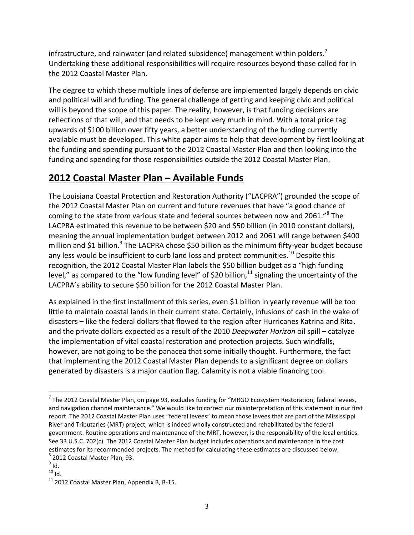infrastructure, and rainwater (and related subsidence) management within polders.<sup>7</sup> Undertaking these additional responsibilities will require resources beyond those called for in the 2012 Coastal Master Plan.

The degree to which these multiple lines of defense are implemented largely depends on civic and political will and funding. The general challenge of getting and keeping civic and political will is beyond the scope of this paper. The reality, however, is that funding decisions are reflections of that will, and that needs to be kept very much in mind. With a total price tag upwards of \$100 billion over fifty years, a better understanding of the funding currently available must be developed. This white paper aims to help that development by first looking at the funding and spending pursuant to the 2012 Coastal Master Plan and then looking into the funding and spending for those responsibilities outside the 2012 Coastal Master Plan.

# **2012 Coastal Master Plan – Available Funds**

The Louisiana Coastal Protection and Restoration Authority ("LACPRA") grounded the scope of the 2012 Coastal Master Plan on current and future revenues that have "a good chance of coming to the state from various state and federal sources between now and 2061."<sup>8</sup> The LACPRA estimated this revenue to be between \$20 and \$50 billion (in 2010 constant dollars), meaning the annual implementation budget between 2012 and 2061 will range between \$400 million and \$1 billion.<sup>9</sup> The LACPRA chose \$50 billion as the minimum fifty-year budget because any less would be insufficient to curb land loss and protect communities.<sup>10</sup> Despite this recognition, the 2012 Coastal Master Plan labels the \$50 billion budget as a "high funding level," as compared to the "low funding level" of \$20 billion, $^{11}$  signaling the uncertainty of the LACPRA's ability to secure \$50 billion for the 2012 Coastal Master Plan.

As explained in the first installment of this series, even \$1 billion in yearly revenue will be too little to maintain coastal lands in their current state. Certainly, infusions of cash in the wake of disasters – like the federal dollars that flowed to the region after Hurricanes Katrina and Rita, and the private dollars expected as a result of the 2010 *Deepwater Horizon* oil spill – catalyze the implementation of vital coastal restoration and protection projects. Such windfalls, however, are not going to be the panacea that some initially thought. Furthermore, the fact that implementing the 2012 Coastal Master Plan depends to a significant degree on dollars generated by disasters is a major caution flag. Calamity is not a viable financing tool.

 $\overline{a}$ 

 $^7$  The 2012 Coastal Master Plan, on page 93, excludes funding for "MRGO Ecosystem Restoration, federal levees, and navigation channel maintenance." We would like to correct our misinterpretation of this statement in our first report. The 2012 Coastal Master Plan uses "federal levees" to mean those levees that are part of the Mississippi River and Tributaries (MRT) project, which is indeed wholly constructed and rehabilitated by the federal government. Routine operations and maintenance of the MRT, however, is the responsibility of the local entities. See 33 U.S.C. 702(c). The 2012 Coastal Master Plan budget includes operations and maintenance in the cost estimates for its recommended projects. The method for calculating these estimates are discussed below. 8 2012 Coastal Master Plan, 93.

 $^9$  Id.

 $10$  Id.

 $11$  2012 Coastal Master Plan, Appendix B, B-15.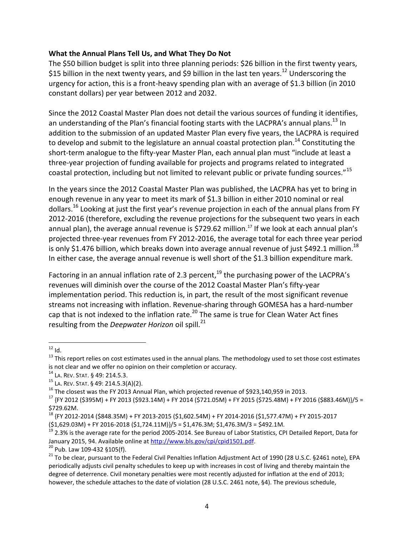#### **What the Annual Plans Tell Us, and What They Do Not**

The \$50 billion budget is split into three planning periods: \$26 billion in the first twenty years, \$15 billion in the next twenty years, and \$9 billion in the last ten years.<sup>12</sup> Underscoring the urgency for action, this is a front-heavy spending plan with an average of \$1.3 billion (in 2010 constant dollars) per year between 2012 and 2032.

Since the 2012 Coastal Master Plan does not detail the various sources of funding it identifies, an understanding of the Plan's financial footing starts with the LACPRA's annual plans.<sup>13</sup> In addition to the submission of an updated Master Plan every five years, the LACPRA is required to develop and submit to the legislature an annual coastal protection plan.<sup>14</sup> Constituting the short-term analogue to the fifty-year Master Plan, each annual plan must "include at least a three-year projection of funding available for projects and programs related to integrated coastal protection, including but not limited to relevant public or private funding sources."<sup>15</sup>

In the years since the 2012 Coastal Master Plan was published, the LACPRA has yet to bring in enough revenue in any year to meet its mark of \$1.3 billion in either 2010 nominal or real dollars.<sup>16</sup> Looking at just the first year's revenue projection in each of the annual plans from FY 2012-2016 (therefore, excluding the revenue projections for the subsequent two years in each annual plan), the average annual revenue is \$729.62 million.<sup>17</sup> If we look at each annual plan's projected three-year revenues from FY 2012-2016, the average total for each three year period is only \$1.476 billion, which breaks down into average annual revenue of just \$492.1 million. $^{18}$ In either case, the average annual revenue is well short of the \$1.3 billion expenditure mark.

Factoring in an annual inflation rate of 2.3 percent,  $19$  the purchasing power of the LACPRA's revenues will diminish over the course of the 2012 Coastal Master Plan's fifty-year implementation period. This reduction is, in part, the result of the most significant revenue streams not increasing with inflation. Revenue-sharing through GOMESA has a hard-number cap that is not indexed to the inflation rate.<sup>20</sup> The same is true for Clean Water Act fines resulting from the *Deepwater Horizon* oil spill.<sup>21</sup>

 $20$  Pub. Law 109-432 §105(f).

 $\overline{\phantom{a}}$  $^{12}$  Id.

 $13$  This report relies on cost estimates used in the annual plans. The methodology used to set those cost estimates is not clear and we offer no opinion on their completion or accuracy.

<sup>14</sup> LA. REV. STAT. § 49: 214.5.3.

<sup>15</sup> LA. REV. STAT. § 49: 214.5.3(A)(2).

 $16$  The closest was the FY 2013 Annual Plan, which projected revenue of \$923,140,959 in 2013.

<sup>17</sup> {FY 2012 (\$395M) + FY 2013 (\$923.14M) + FY 2014 (\$721.05M) + FY 2015 (\$725.48M) + FY 2016 (\$883.46M)}/5 = \$729.62M.

<sup>18</sup> {FY 2012-2014 (\$848.35M) + FY 2013-2015 (\$1,602.54M) + FY 2014-2016 (\$1,577.47M) + FY 2015-2017 (\$1,629.03M) + FY 2016-2018 (\$1,724.11M)}/5 = \$1,476.3M; \$1,476.3M/3 = \$492.1M.

<sup>19</sup> 2.3% is the average rate for the period 2005-2014. See Bureau of Labor Statistics, CPI Detailed Report, Data for January 2015, 94. Available online at [http://www.bls.gov/cpi/cpid1501.pdf.](http://www.bls.gov/cpi/cpid1501.pdf)

<sup>&</sup>lt;sup>21</sup> To be clear, pursuant to the Federal Civil Penalties Inflation Adjustment Act of 1990 (28 U.S.C. §2461 note), EPA periodically adjusts civil penalty schedules to keep up with increases in cost of living and thereby maintain the degree of deterrence. Civil monetary penalties were most recently adjusted for inflation at the end of 2013; however, the schedule attaches to the date of violation (28 U.S.C. 2461 note, §4). The previous schedule,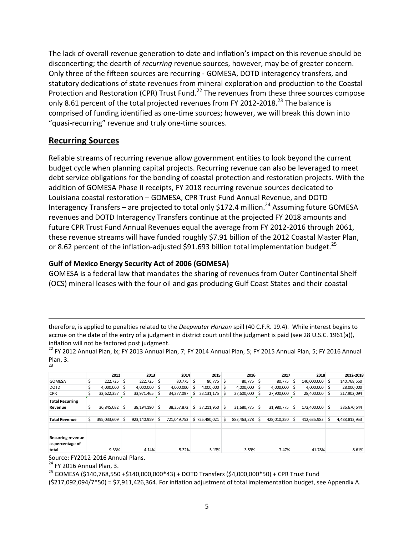The lack of overall revenue generation to date and inflation's impact on this revenue should be disconcerting; the dearth of *recurring* revenue sources, however, may be of greater concern. Only three of the fifteen sources are recurring - GOMESA, DOTD interagency transfers, and statutory dedications of state revenues from mineral exploration and production to the Coastal Protection and Restoration (CPR) Trust Fund.<sup>22</sup> The revenues from these three sources compose only 8.61 percent of the total projected revenues from FY 2012-2018.<sup>23</sup> The balance is comprised of funding identified as one-time sources; however, we will break this down into "quasi-recurring" revenue and truly one-time sources.

# **Recurring Sources**

Reliable streams of recurring revenue allow government entities to look beyond the current budget cycle when planning capital projects. Recurring revenue can also be leveraged to meet debt service obligations for the bonding of coastal protection and restoration projects. With the addition of GOMESA Phase II receipts, FY 2018 recurring revenue sources dedicated to Louisiana coastal restoration – GOMESA, CPR Trust Fund Annual Revenue, and DOTD Interagency Transfers – are projected to total only \$172.4 million.<sup>24</sup> Assuming future GOMESA revenues and DOTD Interagency Transfers continue at the projected FY 2018 amounts and future CPR Trust Fund Annual Revenues equal the average from FY 2012-2016 through 2061, these revenue streams will have funded roughly \$7.91 billion of the 2012 Coastal Master Plan, or 8.62 percent of the inflation-adjusted \$91.693 billion total implementation budget.<sup>25</sup>

### **Gulf of Mexico Energy Security Act of 2006 (GOMESA)**

GOMESA is a federal law that mandates the sharing of revenues from Outer Continental Shelf (OCS) mineral leases with the four oil and gas producing Gulf Coast States and their coastal

therefore, is applied to penalties related to the *Deepwater Horizon* spill (40 C.F.R. 19.4). While interest begins to accrue on the date of the entry of a judgment in district court until the judgment is paid (see 28 U.S.C. 1961(a)), inflation will not be factored post judgment.

 $^{22}$  FY 2012 Annual Plan, ix; FY 2013 Annual Plan, 7; FY 2014 Annual Plan, 5; FY 2015 Annual Plan, 5; FY 2016 Annual Plan, 3. 23

|                          | 2012           |    | 2013        |    | 2014        |    | 2015          |     | 2016           |    | 2017        |    | 2018           |    | 2012-2018     |
|--------------------------|----------------|----|-------------|----|-------------|----|---------------|-----|----------------|----|-------------|----|----------------|----|---------------|
| <b>GOMESA</b>            | $222.725$ S    |    | 222,725     | Ŝ  | 80,775      | \$ | $80,775$ \$   |     | $80,775$ \$    |    | 80,775      | Ŝ  | 140,000,000    | -Ś | 140,768,550   |
| <b>DOTD</b>              | $4.000.000$ \$ |    | 4,000,000   | Ŝ  | 4,000,000   | Ś  | 4.000.000     | -\$ | $4,000,000$ \$ |    | 4,000,000   | Ŝ. | $4.000.000$ \$ |    | 28,000,000    |
| <b>CPR</b>               | 32,622,357     | Ŝ. | 33,971,465  | Ŝ. | 34,277,097  |    | 33, 131, 175  |     | 27,600,000     |    | 27,900,000  | Ŝ  | 28,400,000     | S. | 217,902,094   |
| <b>Total Recurring</b>   |                |    |             |    |             |    |               |     |                |    |             |    |                |    |               |
| Revenue                  | 36,845,082     | S. | 38,194,190  | Ŝ  | 38,357,872  |    | 37,211,950    |     | 31,680,775     | S. | 31,980,775  | Ś  | 172,400,000    | Ŝ  | 386,670,644   |
|                          |                |    |             |    |             |    |               |     |                |    |             |    |                |    |               |
| <b>Total Revenue</b>     | 395,033,609    | Ŝ  | 923,140,959 | Ś  | 721,049,753 |    | \$725,480,021 | S.  | 883,463,278    |    | 428,010,350 | Ś  | 412,635,983    | \$ | 4,488,813,953 |
|                          |                |    |             |    |             |    |               |     |                |    |             |    |                |    |               |
| <b>Recurring revenue</b> |                |    |             |    |             |    |               |     |                |    |             |    |                |    |               |
| as percentage of         |                |    |             |    |             |    |               |     |                |    |             |    |                |    |               |
| total                    | 9.33%          |    | 4.14%       |    | 5.32%       |    | 5.13%         |     | 3.59%          |    | 7.47%       |    | 41.78%         |    | 8.61%         |

Source: FY2012-2016 Annual Plans.

<sup>24</sup> FY 2016 Annual Plan, 3.

 $\overline{a}$ 

<sup>25</sup> GOMESA (\$140,768,550 +\$140,000,000\*43) + DOTD Transfers (\$4,000,000\*50) + CPR Trust Fund

(\$217,092,094/7\*50) = \$7,911,426,364. For inflation adjustment of total implementation budget, see Appendix A.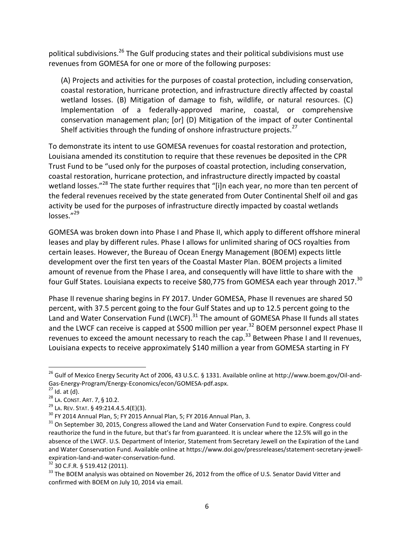political subdivisions.<sup>26</sup> The Gulf producing states and their political subdivisions must use revenues from GOMESA for one or more of the following purposes:

(A) Projects and activities for the purposes of coastal protection, including conservation, coastal restoration, hurricane protection, and infrastructure directly affected by coastal wetland losses. (B) Mitigation of damage to fish, wildlife, or natural resources. (C) Implementation of a federally-approved marine, coastal, or comprehensive conservation management plan; [or] (D) Mitigation of the impact of outer Continental Shelf activities through the funding of onshore infrastructure projects. $^{27}$ 

To demonstrate its intent to use GOMESA revenues for coastal restoration and protection, Louisiana amended its constitution to require that these revenues be deposited in the CPR Trust Fund to be "used only for the purposes of coastal protection, including conservation, coastal restoration, hurricane protection, and infrastructure directly impacted by coastal wetland losses."<sup>28</sup> The state further requires that "[i]n each year, no more than ten percent of the federal revenues received by the state generated from Outer Continental Shelf oil and gas activity be used for the purposes of infrastructure directly impacted by coastal wetlands losses."<sup>29</sup>

GOMESA was broken down into Phase I and Phase II, which apply to different offshore mineral leases and play by different rules. Phase I allows for unlimited sharing of OCS royalties from certain leases. However, the Bureau of Ocean Energy Management (BOEM) expects little development over the first ten years of the Coastal Master Plan. BOEM projects a limited amount of revenue from the Phase I area, and consequently will have little to share with the four Gulf States. Louisiana expects to receive \$80,775 from GOMESA each year through 2017.<sup>30</sup>

Phase II revenue sharing begins in FY 2017. Under GOMESA, Phase II revenues are shared 50 percent, with 37.5 percent going to the four Gulf States and up to 12.5 percent going to the Land and Water Conservation Fund (LWCF).<sup>31</sup> The amount of GOMESA Phase II funds all states and the LWCF can receive is capped at \$500 million per year.<sup>32</sup> BOEM personnel expect Phase II revenues to exceed the amount necessary to reach the cap.<sup>33</sup> Between Phase I and II revenues, Louisiana expects to receive approximately \$140 million a year from GOMESA starting in FY

 $\overline{\phantom{a}}$ 

<sup>32</sup> 30 C.F.R. § 519.412 (2011).

 $^{26}$  Gulf of Mexico Energy Security Act of 2006, 43 U.S.C. § 1331. Available online at http://www.boem.gov/Oil-and-Gas-Energy-Program/Energy-Economics/econ/GOMESA-pdf.aspx.

 $27$  Id. at (d).

<sup>28</sup> LA. CONST. ART. 7, § 10.2.

 $29$  La. REV. STAT. § 49:214.4.5.4(E)(3).

 $30$  FY 2014 Annual Plan, 5; FY 2015 Annual Plan, 5; FY 2016 Annual Plan, 3.

<sup>&</sup>lt;sup>31</sup> On September 30, 2015, Congress allowed the Land and Water Conservation Fund to expire. Congress could reauthorize the fund in the future, but that's far from guaranteed. It is unclear where the 12.5% will go in the absence of the LWCF. U.S. Department of Interior, Statement from Secretary Jewell on the Expiration of the Land and Water Conservation Fund. Available online at https://www.doi.gov/pressreleases/statement-secretary-jewellexpiration-land-and-water-conservation-fund.

<sup>&</sup>lt;sup>33</sup> The BOEM analysis was obtained on November 26, 2012 from the office of U.S. Senator David Vitter and confirmed with BOEM on July 10, 2014 via email.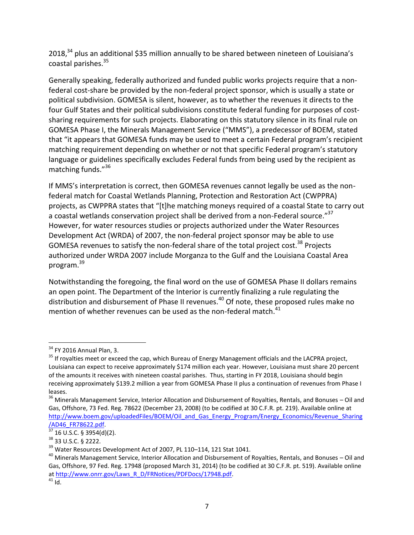2018, $^{34}$  plus an additional \$35 million annually to be shared between nineteen of Louisiana's coastal parishes.<sup>35</sup>

Generally speaking, federally authorized and funded public works projects require that a nonfederal cost-share be provided by the non-federal project sponsor, which is usually a state or political subdivision. GOMESA is silent, however, as to whether the revenues it directs to the four Gulf States and their political subdivisions constitute federal funding for purposes of costsharing requirements for such projects. Elaborating on this statutory silence in its final rule on GOMESA Phase I, the Minerals Management Service ("MMS"), a predecessor of BOEM, stated that "it appears that GOMESA funds may be used to meet a certain Federal program's recipient matching requirement depending on whether or not that specific Federal program's statutory language or guidelines specifically excludes Federal funds from being used by the recipient as matching funds."<sup>36</sup>

If MMS's interpretation is correct, then GOMESA revenues cannot legally be used as the nonfederal match for Coastal Wetlands Planning, Protection and Restoration Act (CWPPRA) projects, as CWPPRA states that "[t]he matching moneys required of a coastal State to carry out a coastal wetlands conservation project shall be derived from a non-Federal source."<sup>37</sup> However, for water resources studies or projects authorized under the Water Resources Development Act (WRDA) of 2007, the non-federal project sponsor may be able to use GOMESA revenues to satisfy the non-federal share of the total project cost.<sup>38</sup> Projects authorized under WRDA 2007 include Morganza to the Gulf and the Louisiana Coastal Area program. 39

Notwithstanding the foregoing, the final word on the use of GOMESA Phase II dollars remains an open point. The Department of the Interior is currently finalizing a rule regulating the distribution and disbursement of Phase II revenues.<sup>40</sup> Of note, these proposed rules make no mention of whether revenues can be used as the non-federal match. $41$ 

 $\overline{\phantom{a}}$  $34$  FY 2016 Annual Plan, 3.

<sup>&</sup>lt;sup>35</sup> If royalties meet or exceed the cap, which Bureau of Energy Management officials and the LACPRA project, Louisiana can expect to receive approximately \$174 million each year. However, Louisiana must share 20 percent of the amounts it receives with nineteen coastal parishes. Thus, starting in FY 2018, Louisiana should begin receiving approximately \$139.2 million a year from GOMESA Phase II plus a continuation of revenues from Phase I leases.

<sup>&</sup>lt;sup>36</sup> Minerals Management Service, Interior Allocation and Disbursement of Royalties, Rentals, and Bonuses – Oil and Gas, Offshore, 73 Fed. Reg. 78622 (December 23, 2008) (to be codified at 30 C.F.R. pt. 219). Available online at http://www.boem.gov/uploadedFiles/BOEM/Oil and Gas Energy Program/Energy Economics/Revenue Sharing AD46\_FR78622.pdf.

<sup>37</sup> 16 U.S.C. § 3954(d)(2).

<sup>38</sup> 33 U.S.C. § 2222.

 $39$  Water Resources Development Act of 2007, PL 110-114, 121 Stat 1041.

<sup>&</sup>lt;sup>40</sup> Minerals Management Service, Interior Allocation and Disbursement of Royalties, Rentals, and Bonuses – Oil and Gas, Offshore, 97 Fed. Reg. 17948 (proposed March 31, 2014) (to be codified at 30 C.F.R. pt. 519). Available online a[t http://www.onrr.gov/Laws\\_R\\_D/FRNotices/PDFDocs/17948.pdf.](http://www.onrr.gov/Laws_R_D/FRNotices/PDFDocs/17948.pdf)

 $41$  Id.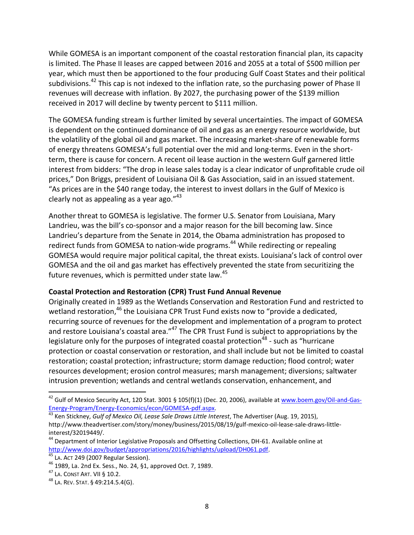While GOMESA is an important component of the coastal restoration financial plan, its capacity is limited. The Phase II leases are capped between 2016 and 2055 at a total of \$500 million per year, which must then be apportioned to the four producing Gulf Coast States and their political subdivisions.<sup>42</sup> This cap is not indexed to the inflation rate, so the purchasing power of Phase II revenues will decrease with inflation. By 2027, the purchasing power of the \$139 million received in 2017 will decline by twenty percent to \$111 million.

The GOMESA funding stream is further limited by several uncertainties. The impact of GOMESA is dependent on the continued dominance of oil and gas as an energy resource worldwide, but the volatility of the global oil and gas market. The increasing market-share of renewable forms of energy threatens GOMESA's full potential over the mid and long-terms. Even in the shortterm, there is cause for concern. A recent oil lease auction in the western Gulf garnered little interest from bidders: "The drop in lease sales today is a clear indicator of unprofitable crude oil prices," Don Briggs, president of Louisiana Oil & Gas Association, said in an issued statement. "As prices are in the \$40 range today, the interest to invest dollars in the Gulf of Mexico is clearly not as appealing as a year ago. $"^{43}$ 

Another threat to GOMESA is legislative. The former U.S. Senator from Louisiana, Mary Landrieu, was the bill's co-sponsor and a major reason for the bill becoming law. Since Landrieu's departure from the Senate in 2014, the Obama administration has proposed to redirect funds from GOMESA to nation-wide programs.<sup>44</sup> While redirecting or repealing GOMESA would require major political capital, the threat exists. Louisiana's lack of control over GOMESA and the oil and gas market has effectively prevented the state from securitizing the future revenues, which is permitted under state law.<sup>45</sup>

#### **Coastal Protection and Restoration (CPR) Trust Fund Annual Revenue**

Originally created in 1989 as the Wetlands Conservation and Restoration Fund and restricted to wetland restoration,<sup>46</sup> the Louisiana CPR Trust Fund exists now to "provide a dedicated, recurring source of revenues for the development and implementation of a program to protect and restore Louisiana's coastal area."<sup>47</sup> The CPR Trust Fund is subject to appropriations by the legislature only for the purposes of integrated coastal protection<sup>48</sup> - such as "hurricane protection or coastal conservation or restoration, and shall include but not be limited to coastal restoration; coastal protection; infrastructure; storm damage reduction; flood control; water resources development; erosion control measures; marsh management; diversions; saltwater intrusion prevention; wetlands and central wetlands conservation, enhancement, and

 $\overline{a}$ 

<sup>&</sup>lt;sup>42</sup> Gulf of Mexico Security Act, 120 Stat. 3001 § 105(f)(1) (Dec. 20, 2006), available at <u>www.boem.gov/Oil-and-Gas-</u> [Energy-Program/Energy-Economics/econ/GOMESA-pdf.aspx.](http://www.boem.gov/Oil-and-Gas-Energy-Program/Energy-Economics/econ/GOMESA-pdf.aspx)

<sup>43</sup> Ken Stickney, *Gulf of Mexico Oil, Lease Sale Draws Little Interest*, The Advertiser (Aug. 19, 2015), http://www.theadvertiser.com/story/money/business/2015/08/19/gulf-mexico-oil-lease-sale-draws-littleinterest/32019449/.

<sup>&</sup>lt;sup>44</sup> Department of Interior Legislative Proposals and Offsetting Collections, DH-61. Available online at [http://www.doi.gov/budget/appropriations/2016/highlights/upload/DH061.pdf.](http://www.doi.gov/budget/appropriations/2016/highlights/upload/DH061.pdf)

<sup>45</sup> LA. ACT 249 (2007 Regular Session).

<sup>46</sup> 1989, La. 2nd Ex. Sess., No. 24, §1, approved Oct. 7, 1989.

<sup>47</sup> LA. CONST ART. VII § 10.2.

<sup>48</sup> LA. REV. STAT. § 49:214.5.4(G).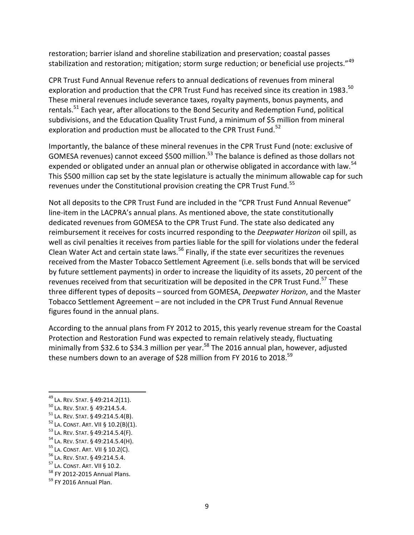restoration; barrier island and shoreline stabilization and preservation; coastal passes stabilization and restoration; mitigation; storm surge reduction; or beneficial use projects."<sup>49</sup>

CPR Trust Fund Annual Revenue refers to annual dedications of revenues from mineral exploration and production that the CPR Trust Fund has received since its creation in 1983.<sup>50</sup> These mineral revenues include severance taxes, royalty payments, bonus payments, and rentals.<sup>51</sup> Each year, after allocations to the Bond Security and Redemption Fund, political subdivisions, and the Education Quality Trust Fund, a minimum of \$5 million from mineral exploration and production must be allocated to the CPR Trust Fund.<sup>52</sup>

Importantly, the balance of these mineral revenues in the CPR Trust Fund (note: exclusive of GOMESA revenues) cannot exceed \$500 million.<sup>53</sup> The balance is defined as those dollars not expended or obligated under an annual plan or otherwise obligated in accordance with law.<sup>54</sup> This \$500 million cap set by the state legislature is actually the minimum allowable cap for such revenues under the Constitutional provision creating the CPR Trust Fund.<sup>55</sup>

Not all deposits to the CPR Trust Fund are included in the "CPR Trust Fund Annual Revenue" line-item in the LACPRA's annual plans. As mentioned above, the state constitutionally dedicated revenues from GOMESA to the CPR Trust Fund. The state also dedicated any reimbursement it receives for costs incurred responding to the *Deepwater Horizon* oil spill, as well as civil penalties it receives from parties liable for the spill for violations under the federal Clean Water Act and certain state laws.<sup>56</sup> Finally, if the state ever securitizes the revenues received from the Master Tobacco Settlement Agreement (i.e. sells bonds that will be serviced by future settlement payments) in order to increase the liquidity of its assets, 20 percent of the revenues received from that securitization will be deposited in the CPR Trust Fund.<sup>57</sup> These three different types of deposits – sourced from GOMESA, *Deepwater Horizon*, and the Master Tobacco Settlement Agreement – are not included in the CPR Trust Fund Annual Revenue figures found in the annual plans.

According to the annual plans from FY 2012 to 2015, this yearly revenue stream for the Coastal Protection and Restoration Fund was expected to remain relatively steady, fluctuating minimally from \$32.6 to \$34.3 million per year.<sup>58</sup> The 2016 annual plan, however, adjusted these numbers down to an average of \$28 million from FY 2016 to 2018.<sup>59</sup>

 $\overline{a}$ 

- <sup>53</sup> LA. REV. STAT. § 49:214.5.4(F).
- <sup>54</sup> LA. REV. STAT. § 49:214.5.4(H).

- <sup>56</sup> LA. REV. STAT. § 49:214.5.4.
- <sup>57</sup> LA. CONST. ART. VII § 10.2.
- <sup>58</sup> FY 2012-2015 Annual Plans.

<sup>&</sup>lt;sup>49</sup> La. Rev. Stat. § 49:214.2(11).

<sup>50</sup> LA. REV. STAT. § 49:214.5.4.

<sup>51</sup> LA. REV. STAT. § 49:214.5.4(B).

 $52$  La. CONST. ART. VII § 10.2(B)(1).

<sup>55</sup> LA. CONST. ART. VII § 10.2(C).

 $59$  FY 2016 Annual Plan.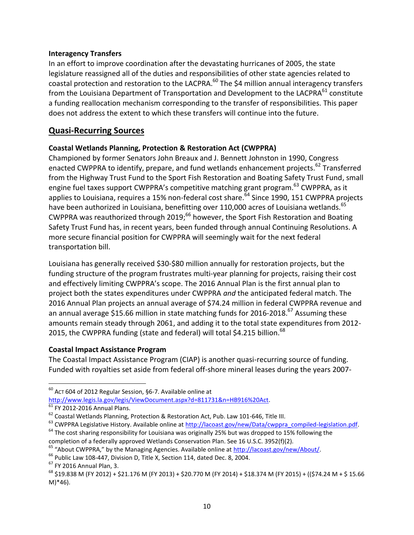#### **Interagency Transfers**

In an effort to improve coordination after the devastating hurricanes of 2005, the state legislature reassigned all of the duties and responsibilities of other state agencies related to coastal protection and restoration to the LACPRA.<sup>60</sup> The \$4 million annual interagency transfers from the Louisiana Department of Transportation and Development to the LACPRA $^{61}$  constitute a funding reallocation mechanism corresponding to the transfer of responsibilities. This paper does not address the extent to which these transfers will continue into the future.

# **Quasi-Recurring Sources**

### **Coastal Wetlands Planning, Protection & Restoration Act (CWPPRA)**

Championed by former Senators John Breaux and J. Bennett Johnston in 1990, Congress enacted CWPPRA to identify, prepare, and fund wetlands enhancement projects.<sup>62</sup> Transferred from the Highway Trust Fund to the Sport Fish Restoration and Boating Safety Trust Fund, small engine fuel taxes support CWPPRA's competitive matching grant program.<sup>63</sup> CWPPRA, as it applies to Louisiana, requires a 15% non-federal cost share.<sup>64</sup> Since 1990, 151 CWPPRA projects have been authorized in Louisiana, benefitting over 110,000 acres of Louisiana wetlands.<sup>65</sup> CWPPRA was reauthorized through 2019;<sup>66</sup> however, the Sport Fish Restoration and Boating Safety Trust Fund has, in recent years, been funded through annual Continuing Resolutions. A more secure financial position for CWPPRA will seemingly wait for the next federal transportation bill.

Louisiana has generally received \$30-\$80 million annually for restoration projects, but the funding structure of the program frustrates multi-year planning for projects, raising their cost and effectively limiting CWPPRA's scope. The 2016 Annual Plan is the first annual plan to project both the states expenditures under CWPPRA *and* the anticipated federal match. The 2016 Annual Plan projects an annual average of \$74.24 million in federal CWPPRA revenue and an annual average \$15.66 million in state matching funds for 2016-2018.<sup>67</sup> Assuming these amounts remain steady through 2061, and adding it to the total state expenditures from 2012- 2015, the CWPPRA funding (state and federal) will total \$4.215 billion.<sup>68</sup>

### **Coastal Impact Assistance Program**

The Coastal Impact Assistance Program (CIAP) is another quasi-recurring source of funding. Funded with royalties set aside from federal off-shore mineral leases during the years 2007-

 $\overline{\phantom{a}}$  $60$  ACT 604 of 2012 Regular Session, §6-7. Available online at

[http://www.legis.la.gov/legis/ViewDocument.aspx?d=811731&n=HB916%20Act.](http://www.legis.la.gov/legis/ViewDocument.aspx?d=811731&n=HB916%20Act)

 $61$  FY 2012-2016 Annual Plans.

<sup>62</sup> Coastal Wetlands Planning, Protection & Restoration Act, Pub. Law 101-646, Title III.

<sup>&</sup>lt;sup>63</sup> CWPPRA Legislative History. Available online at [http://lacoast.gov/new/Data/cwppra\\_compiled-legislation.pdf.](http://lacoast.gov/new/Data/cwppra_compiled-legislation.pdf)

<sup>&</sup>lt;sup>64</sup> The cost sharing responsibility for Louisiana was originally 25% but was dropped to 15% following the completion of a federally approved Wetlands Conservation Plan. See 16 U.S.C. 3952(f)(2).

<sup>&</sup>lt;sup>65</sup> "About CWPPRA," by the Managing Agencies. Available online at [http://lacoast.gov/new/About/.](http://lacoast.gov/new/About/)

<sup>&</sup>lt;sup>66</sup> Public Law 108-447, Division D, Title X, Section 114, dated Dec. 8, 2004.

<sup>67</sup> FY 2016 Annual Plan, 3.

<sup>68</sup> \$19.838 M (FY 2012) + \$21.176 M (FY 2013) + \$20.770 M (FY 2014) + \$18.374 M (FY 2015) + ((\$74.24 M + \$ 15.66 M)\*46).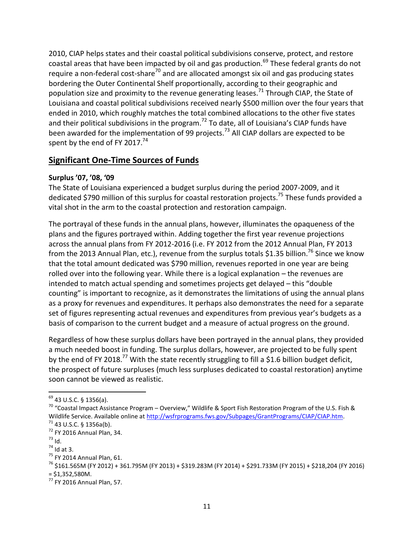2010, CIAP helps states and their coastal political subdivisions conserve, protect, and restore coastal areas that have been impacted by oil and gas production.<sup>69</sup> These federal grants do not require a non-federal cost-share<sup>70</sup> and are allocated amongst six oil and gas producing states bordering the Outer Continental Shelf proportionally, according to their geographic and population size and proximity to the revenue generating leases.<sup>71</sup> Through CIAP, the State of Louisiana and coastal political subdivisions received nearly \$500 million over the four years that ended in 2010, which roughly matches the total combined allocations to the other five states and their political subdivisions in the program.<sup>72</sup> To date, all of Louisiana's CIAP funds have been awarded for the implementation of 99 projects.<sup>73</sup> All CIAP dollars are expected to be spent by the end of FY 2017. $^{74}$ 

# **Significant One-Time Sources of Funds**

#### **Surplus '07, '08, '09**

The State of Louisiana experienced a budget surplus during the period 2007-2009, and it dedicated \$790 million of this surplus for coastal restoration projects.<sup>75</sup> These funds provided a vital shot in the arm to the coastal protection and restoration campaign.

The portrayal of these funds in the annual plans, however, illuminates the opaqueness of the plans and the figures portrayed within. Adding together the first year revenue projections across the annual plans from FY 2012-2016 (i.e. FY 2012 from the 2012 Annual Plan, FY 2013 from the 2013 Annual Plan, etc.), revenue from the surplus totals \$1.35 billion.<sup>76</sup> Since we know that the total amount dedicated was \$790 million, revenues reported in one year are being rolled over into the following year. While there is a logical explanation – the revenues are intended to match actual spending and sometimes projects get delayed – this "double counting" is important to recognize, as it demonstrates the limitations of using the annual plans as a proxy for revenues and expenditures. It perhaps also demonstrates the need for a separate set of figures representing actual revenues and expenditures from previous year's budgets as a basis of comparison to the current budget and a measure of actual progress on the ground.

Regardless of how these surplus dollars have been portrayed in the annual plans, they provided a much needed boost in funding. The surplus dollars, however, are projected to be fully spent by the end of FY 2018.<sup>77</sup> With the state recently struggling to fill a \$1.6 billion budget deficit, the prospect of future surpluses (much less surpluses dedicated to coastal restoration) anytime soon cannot be viewed as realistic.

 $\overline{a}$ <sup>69</sup> 43 U.S.C. § 1356(a).

<sup>&</sup>lt;sup>70</sup> "Coastal Impact Assistance Program – Overview," Wildlife & Sport Fish Restoration Program of the U.S. Fish & Wildlife Service. Available online a[t http://wsfrprograms.fws.gov/Subpages/GrantPrograms/CIAP/CIAP.htm.](http://wsfrprograms.fws.gov/Subpages/GrantPrograms/CIAP/CIAP.htm)  $71$  43 U.S.C. § 1356a(b).

 $72$  FY 2016 Annual Plan, 34.

<sup>73</sup> Id.

 $74$  Id at 3.

<sup>&</sup>lt;sup>75</sup> FY 2014 Annual Plan, 61.

<sup>76</sup> \$161.565M (FY 2012) + 361.795M (FY 2013) + \$319.283M (FY 2014) + \$291.733M (FY 2015) + \$218,204 (FY 2016)  $= $1,352,580M$ .

<sup>77</sup> FY 2016 Annual Plan, 57.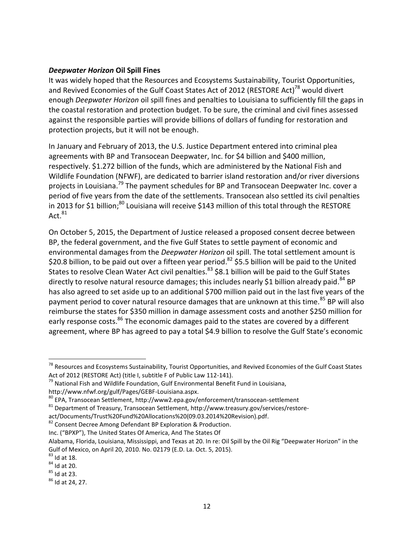#### *Deepwater Horizon* **Oil Spill Fines**

It was widely hoped that the Resources and Ecosystems Sustainability, Tourist Opportunities, and Revived Economies of the Gulf Coast States Act of 2012 (RESTORE Act)<sup>78</sup> would divert enough *Deepwater Horizon* oil spill fines and penalties to Louisiana to sufficiently fill the gaps in the coastal restoration and protection budget. To be sure, the criminal and civil fines assessed against the responsible parties will provide billions of dollars of funding for restoration and protection projects, but it will not be enough.

In January and February of 2013, the U.S. Justice Department entered into criminal plea agreements with BP and Transocean Deepwater, Inc. for \$4 billion and \$400 million, respectively. \$1.272 billion of the funds, which are administered by the National Fish and Wildlife Foundation (NFWF), are dedicated to barrier island restoration and/or river diversions projects in Louisiana.<sup>79</sup> The payment schedules for BP and Transocean Deepwater Inc. cover a period of five years from the date of the settlements. Transocean also settled its civil penalties in 2013 for \$1 billion;<sup>80</sup> Louisiana will receive \$143 million of this total through the RESTORE Act. $81$ 

On October 5, 2015, the Department of Justice released a proposed consent decree between BP, the federal government, and the five Gulf States to settle payment of economic and environmental damages from the *Deepwater Horizon* oil spill. The total settlement amount is \$20.8 billion, to be paid out over a fifteen year period.<sup>82</sup> \$5.5 billion will be paid to the United States to resolve Clean Water Act civil penalties.<sup>83</sup> \$8.1 billion will be paid to the Gulf States directly to resolve natural resource damages; this includes nearly \$1 billion already paid.<sup>84</sup> BP has also agreed to set aside up to an additional \$700 million paid out in the last five years of the payment period to cover natural resource damages that are unknown at this time.<sup>85</sup> BP will also reimburse the states for \$350 million in damage assessment costs and another \$250 million for early response costs.<sup>86</sup> The economic damages paid to the states are covered by a different agreement, where BP has agreed to pay a total \$4.9 billion to resolve the Gulf State's economic

act/Documents/Trust%20Fund%20Allocations%20(09.03.2014%20Revision).pdf.

Inc. ("BPXP"), The United States Of America, And The States Of

<sup>&</sup>lt;sup>78</sup> Resources and Ecosystems Sustainability, Tourist Opportunities, and Revived Economies of the Gulf Coast States Act of 2012 (RESTORE Act) (title I, subtitle F of Public Law 112-141).

 $79$  National Fish and Wildlife Foundation, Gulf Environmental Benefit Fund in Louisiana,

http://www.nfwf.org/gulf/Pages/GEBF-Louisiana.aspx.

<sup>80</sup> EPA, Transocean Settlement, http://www2.epa.gov/enforcement/transocean-settlement

<sup>81</sup> Department of Treasury, Transocean Settlement, http://www.treasury.gov/services/restore-

<sup>82</sup> Consent Decree Among Defendant BP Exploration & Production.

Alabama, Florida, Louisiana, Mississippi, and Texas at 20. In re: Oil Spill by the Oil Rig "Deepwater Horizon" in the Gulf of Mexico, on April 20, 2010. No. 02179 (E.D. La. Oct. 5, 2015).

 $83$  Id at 18.

 $84$  Id at 20.

 $85$  Id at 23.

<sup>86</sup> Id at 24, 27.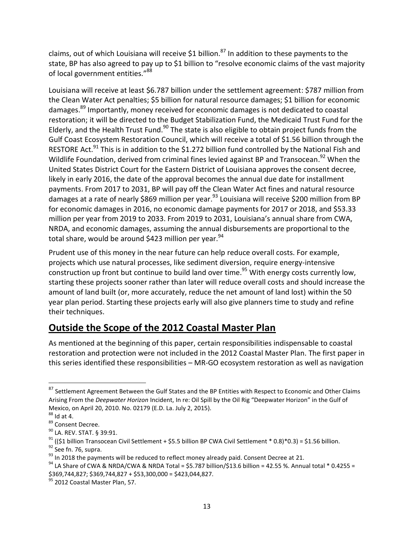claims, out of which Louisiana will receive \$1 billion.<sup>87</sup> In addition to these payments to the state, BP has also agreed to pay up to \$1 billion to "resolve economic claims of the vast majority of local government entities."<sup>88</sup>

Louisiana will receive at least \$6.787 billion under the settlement agreement: \$787 million from the Clean Water Act penalties; \$5 billion for natural resource damages; \$1 billion for economic damages.<sup>89</sup> Importantly, money received for economic damages is not dedicated to coastal restoration; it will be directed to the Budget Stabilization Fund, the Medicaid Trust Fund for the Elderly, and the Health Trust Fund.<sup>90</sup> The state is also eligible to obtain project funds from the Gulf Coast Ecosystem Restoration Council, which will receive a total of \$1.56 billion through the RESTORE Act.<sup>91</sup> This is in addition to the \$1.272 billion fund controlled by the National Fish and Wildlife Foundation, derived from criminal fines levied against BP and Transocean.<sup>92</sup> When the United States District Court for the Eastern District of Louisiana approves the consent decree, likely in early 2016, the date of the approval becomes the annual due date for installment payments. From 2017 to 2031, BP will pay off the Clean Water Act fines and natural resource damages at a rate of nearly \$869 million per year.<sup>93</sup> Louisiana will receive \$200 million from BP for economic damages in 2016, no economic damage payments for 2017 or 2018, and \$53.33 million per year from 2019 to 2033. From 2019 to 2031, Louisiana's annual share from CWA, NRDA, and economic damages, assuming the annual disbursements are proportional to the total share, would be around \$423 million per year. $94$ 

Prudent use of this money in the near future can help reduce overall costs. For example, projects which use natural processes, like sediment diversion, require energy-intensive construction up front but continue to build land over time.<sup>95</sup> With energy costs currently low, starting these projects sooner rather than later will reduce overall costs and should increase the amount of land built (or, more accurately, reduce the net amount of land lost) within the 50 year plan period. Starting these projects early will also give planners time to study and refine their techniques.

# **Outside the Scope of the 2012 Coastal Master Plan**

As mentioned at the beginning of this paper, certain responsibilities indispensable to coastal restoration and protection were not included in the 2012 Coastal Master Plan. The first paper in this series identified these responsibilities – MR-GO ecosystem restoration as well as navigation

l

<sup>87</sup> Settlement Agreement Between the Gulf States and the BP Entities with Respect to Economic and Other Claims Arising From the *Deepwater Horizon* Incident, In re: Oil Spill by the Oil Rig "Deepwater Horizon" in the Gulf of Mexico, on April 20, 2010. No. 02179 (E.D. La. July 2, 2015).

 $88$  Id at 4.

<sup>89</sup> Consent Decree.

<sup>90</sup> LA. REV. STAT. § 39:91.

<sup>&</sup>lt;sup>91</sup> ((\$1 billion Transocean Civil Settlement + \$5.5 billion BP CWA Civil Settlement \* 0.8)\*0.3) = \$1.56 billion.

 $92$  See fn. 76, supra.

<sup>&</sup>lt;sup>93</sup> In 2018 the payments will be reduced to reflect money already paid. Consent Decree at 21.

 $94$  LA Share of CWA & NRDA/CWA & NRDA Total = \$5.787 billion/\$13.6 billion = 42.55 %. Annual total \* 0.4255 = \$369,744,827; \$369,744,827 + \$53,300,000 = \$423,044,827.

<sup>&</sup>lt;sup>95</sup> 2012 Coastal Master Plan, 57.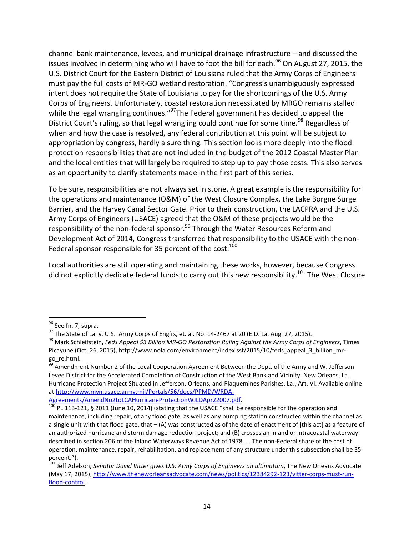channel bank maintenance, levees, and municipal drainage infrastructure – and discussed the issues involved in determining who will have to foot the bill for each.<sup>96</sup> On August 27, 2015, the U.S. District Court for the Eastern District of Louisiana ruled that the Army Corps of Engineers must pay the full costs of MR-GO wetland restoration. "Congress's unambiguously expressed intent does not require the State of Louisiana to pay for the shortcomings of the U.S. Army Corps of Engineers. Unfortunately, coastal restoration necessitated by MRGO remains stalled while the legal wrangling continues."<sup>97</sup>The Federal government has decided to appeal the District Court's ruling, so that legal wrangling could continue for some time.<sup>98</sup> Regardless of when and how the case is resolved, any federal contribution at this point will be subject to appropriation by congress, hardly a sure thing. This section looks more deeply into the flood protection responsibilities that are not included in the budget of the 2012 Coastal Master Plan and the local entities that will largely be required to step up to pay those costs. This also serves as an opportunity to clarify statements made in the first part of this series.

To be sure, responsibilities are not always set in stone. A great example is the responsibility for the operations and maintenance (O&M) of the West Closure Complex, the Lake Borgne Surge Barrier, and the Harvey Canal Sector Gate. Prior to their construction, the LACPRA and the U.S. Army Corps of Engineers (USACE) agreed that the O&M of these projects would be the responsibility of the non-federal sponsor.<sup>99</sup> Through the Water Resources Reform and Development Act of 2014, Congress transferred that responsibility to the USACE with the non-Federal sponsor responsible for 35 percent of the cost.<sup>100</sup>

Local authorities are still operating and maintaining these works, however, because Congress did not explicitly dedicate federal funds to carry out this new responsibility.<sup>101</sup> The West Closure

l

<sup>&</sup>lt;sup>96</sup> See fn. 7, supra.

 $97$  The State of La. v. U.S. Army Corps of Eng'rs, et. al. No. 14-2467 at 20 (E.D. La. Aug. 27, 2015).

<sup>98</sup> Mark Schleifstein, *Feds Appeal \$3 Billion MR-GO Restoration Ruling Against the Army Corps of Engineers*, Times Picayune (Oct. 26, 2015), http://www.nola.com/environment/index.ssf/2015/10/feds\_appeal\_3\_billion\_mrgo\_re.html.

<sup>&</sup>lt;sup>99</sup> Amendment Number 2 of the Local Cooperation Agreement Between the Dept. of the Army and W. Jefferson Levee District for the Accelerated Completion of Construction of the West Bank and Vicinity, New Orleans, La., Hurricane Protection Project Situated in Jefferson, Orleans, and Plaquemines Parishes, La., Art. VI. Available online a[t http://www.mvn.usace.army.mil/Portals/56/docs/PPMD/WRDA-](http://www.mvn.usace.army.mil/Portals/56/docs/PPMD/WRDA-Agreements/AmendNo2toLCAHurricaneProtectionWJLDApr22007.pdf)

[Agreements/AmendNo2toLCAHurricaneProtectionWJLDApr22007.pdf.](http://www.mvn.usace.army.mil/Portals/56/docs/PPMD/WRDA-Agreements/AmendNo2toLCAHurricaneProtectionWJLDApr22007.pdf)

 $^{100}$  PL 113-121, § 2011 (June 10, 2014) (stating that the USACE "shall be responsible for the operation and maintenance, including repair, of any flood gate, as well as any pumping station constructed within the channel as a single unit with that flood gate, that  $-$  (A) was constructed as of the date of enactment of [this act] as a feature of an authorized hurricane and storm damage reduction project; and (B) crosses an inland or intracoastal waterway described in section 206 of the Inland Waterways Revenue Act of 1978. . . The non-Federal share of the cost of operation, maintenance, repair, rehabilitation, and replacement of any structure under this subsection shall be 35 percent.").

<sup>&</sup>lt;sup>101</sup> Jeff Adelson, *Senator David Vitter gives U.S. Army Corps of Engineers an ultimatum*, The New Orleans Advocate (May 17, 2015), [http://www.theneworleansadvocate.com/news/politics/12384292-123/vitter-corps-must-run](http://www.theneworleansadvocate.com/news/politics/12384292-123/vitter-corps-must-run-flood-control)[flood-control.](http://www.theneworleansadvocate.com/news/politics/12384292-123/vitter-corps-must-run-flood-control)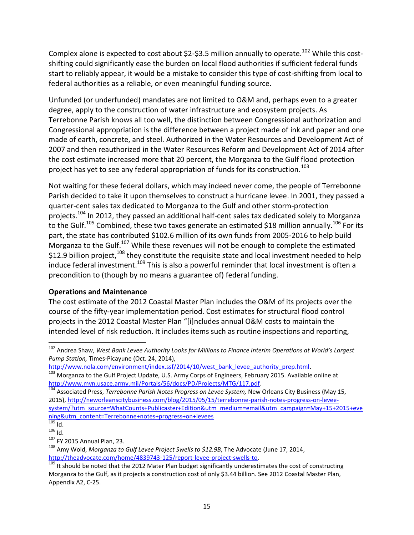Complex alone is expected to cost about \$2-\$3.5 million annually to operate.<sup>102</sup> While this costshifting could significantly ease the burden on local flood authorities if sufficient federal funds start to reliably appear, it would be a mistake to consider this type of cost-shifting from local to federal authorities as a reliable, or even meaningful funding source.

Unfunded (or underfunded) mandates are not limited to O&M and, perhaps even to a greater degree, apply to the construction of water infrastructure and ecosystem projects. As Terrebonne Parish knows all too well, the distinction between Congressional authorization and Congressional appropriation is the difference between a project made of ink and paper and one made of earth, concrete, and steel. Authorized in the Water Resources and Development Act of 2007 and then reauthorized in the Water Resources Reform and Development Act of 2014 after the cost estimate increased more that 20 percent, the Morganza to the Gulf flood protection project has yet to see any federal appropriation of funds for its construction.<sup>103</sup>

Not waiting for these federal dollars, which may indeed never come, the people of Terrebonne Parish decided to take it upon themselves to construct a hurricane levee. In 2001, they passed a quarter-cent sales tax dedicated to Morganza to the Gulf and other storm-protection projects.<sup>104</sup> In 2012, they passed an additional half-cent sales tax dedicated solely to Morganza to the Gulf.<sup>105</sup> Combined, these two taxes generate an estimated \$18 million annually.<sup>106</sup> For its part, the state has contributed \$102.6 million of its own funds from 2005-2016 to help build Morganza to the Gulf.<sup>107</sup> While these revenues will not be enough to complete the estimated \$12.9 billion project,  $108$  they constitute the requisite state and local investment needed to help induce federal investment.<sup>109</sup> This is also a powerful reminder that local investment is often a precondition to (though by no means a guarantee of) federal funding.

### **Operations and Maintenance**

The cost estimate of the 2012 Coastal Master Plan includes the O&M of its projects over the course of the fifty-year implementation period. Cost estimates for structural flood control projects in the 2012 Coastal Master Plan "[i]ncludes annual O&M costs to maintain the intended level of risk reduction. It includes items such as routine inspections and reporting,

<sup>&</sup>lt;sup>102</sup> Andrea Shaw, *West Bank Levee Authority Looks for Millions to Finance Interim Operations at World's Largest Pump Station,* Times-Picayune (Oct. 24, 2014),

[http://www.nola.com/environment/index.ssf/2014/10/west\\_bank\\_levee\\_authority\\_prep.html.](http://www.nola.com/environment/index.ssf/2014/10/west_bank_levee_authority_prep.html)

<sup>103</sup> Morganza to the Gulf Project Update, U.S. Army Corps of Engineers, February 2015. Available online at [http://www.mvn.usace.army.mil/Portals/56/docs/PD/Projects/MTG/117.pdf.](http://www.mvn.usace.army.mil/Portals/56/docs/PD/Projects/MTG/117.pdf)

<sup>104</sup> Associated Press, *Terrebonne Parish Notes Progress on Levee System,* New Orleans City Business (May 15, 2015), [http://neworleanscitybusiness.com/blog/2015/05/15/terrebonne-parish-notes-progress-on-levee](http://neworleanscitybusiness.com/blog/2015/05/15/terrebonne-parish-notes-progress-on-levee-system/?utm_source=WhatCounts+Publicaster+Edition&utm_medium=email&utm_campaign=May+15+2015+evening&utm_content=Terrebonne+notes+progress+on+levees)[system/?utm\\_source=WhatCounts+Publicaster+Edition&utm\\_medium=email&utm\\_campaign=May+15+2015+eve](http://neworleanscitybusiness.com/blog/2015/05/15/terrebonne-parish-notes-progress-on-levee-system/?utm_source=WhatCounts+Publicaster+Edition&utm_medium=email&utm_campaign=May+15+2015+evening&utm_content=Terrebonne+notes+progress+on+levees) [ning&utm\\_content=Terrebonne+notes+progress+on+levees](http://neworleanscitybusiness.com/blog/2015/05/15/terrebonne-parish-notes-progress-on-levee-system/?utm_source=WhatCounts+Publicaster+Edition&utm_medium=email&utm_campaign=May+15+2015+evening&utm_content=Terrebonne+notes+progress+on+levees)

 $\overline{105}$  Id.  $106$  Id.

<sup>107</sup> FY 2015 Annual Plan, 23.

<sup>108</sup> Amy Wold, *Morganza to Gulf Levee Project Swells to \$12.9B*, The Advocate (June 17, 2014, [http://theadvocate.com/home/4839743-125/report-levee-project-swells-to.](http://theadvocate.com/home/4839743-125/report-levee-project-swells-to)

 $\frac{109}{109}$  It should be noted that the 2012 Mater Plan budget significantly underestimates the cost of constructing Morganza to the Gulf, as it projects a construction cost of only \$3.44 billion. See 2012 Coastal Master Plan, Appendix A2, C-25.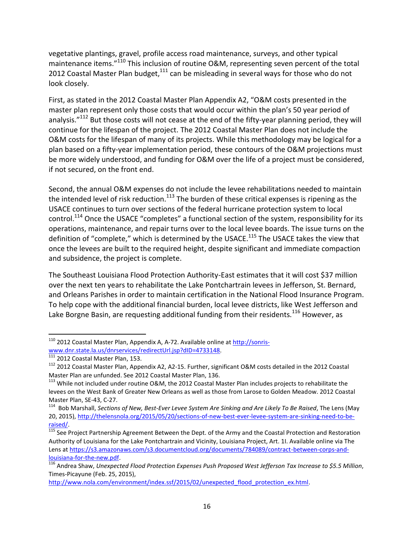vegetative plantings, gravel, profile access road maintenance, surveys, and other typical maintenance items."<sup>110</sup> This inclusion of routine O&M, representing seven percent of the total 2012 Coastal Master Plan budget, $111$  can be misleading in several ways for those who do not look closely.

First, as stated in the 2012 Coastal Master Plan Appendix A2, "O&M costs presented in the master plan represent only those costs that would occur within the plan's 50 year period of analysis."<sup>112</sup> But those costs will not cease at the end of the fifty-year planning period, they will continue for the lifespan of the project. The 2012 Coastal Master Plan does not include the O&M costs for the lifespan of many of its projects. While this methodology may be logical for a plan based on a fifty-year implementation period, these contours of the O&M projections must be more widely understood, and funding for O&M over the life of a project must be considered, if not secured, on the front end.

Second, the annual O&M expenses do not include the levee rehabilitations needed to maintain the intended level of risk reduction.<sup>113</sup> The burden of these critical expenses is ripening as the USACE continues to turn over sections of the federal hurricane protection system to local control.<sup>114</sup> Once the USACE "completes" a functional section of the system, responsibility for its operations, maintenance, and repair turns over to the local levee boards. The issue turns on the definition of "complete," which is determined by the USACE.<sup>115</sup> The USACE takes the view that once the levees are built to the required height, despite significant and immediate compaction and subsidence, the project is complete.

The Southeast Louisiana Flood Protection Authority-East estimates that it will cost \$37 million over the next ten years to rehabilitate the Lake Pontchartrain levees in Jefferson, St. Bernard, and Orleans Parishes in order to maintain certification in the National Flood Insurance Program. To help cope with the additional financial burden, local levee districts, like West Jefferson and Lake Borgne Basin, are requesting additional funding from their residents.<sup>116</sup> However, as

l

<sup>&</sup>lt;sup>110</sup> 2012 Coastal Master Plan, Appendix A, A-72. Available online at <u>http://sonris-</u> [www.dnr.state.la.us/dnrservices/redirectUrl.jsp?dID=4733148.](http://sonris-www.dnr.state.la.us/dnrservices/redirectUrl.jsp?dID=4733148)

<sup>111 2012</sup> Coastal Master Plan, 153.

<sup>112</sup> 2012 Coastal Master Plan, Appendix A2, A2-15. Further, significant O&M costs detailed in the 2012 Coastal Master Plan are unfunded. See 2012 Coastal Master Plan, 136.

<sup>&</sup>lt;sup>113</sup> While not included under routine O&M, the 2012 Coastal Master Plan includes projects to rehabilitate the levees on the West Bank of Greater New Orleans as well as those from Larose to Golden Meadow. 2012 Coastal Master Plan, SE-43, C-27.

<sup>114</sup> Bob Marshall, *Sections of New, Best-Ever Levee System Are Sinking and Are Likely To Be Raised*, The Lens (May 20, 2015), [http://thelensnola.org/2015/05/20/sections-of-new-best-ever-levee-system-are-sinking-need-to-be](http://thelensnola.org/2015/05/20/sections-of-new-best-ever-levee-system-are-sinking-need-to-be-raised/)[raised/.](http://thelensnola.org/2015/05/20/sections-of-new-best-ever-levee-system-are-sinking-need-to-be-raised/)

<sup>&</sup>lt;sup>115</sup> See Project Partnership Agreement Between the Dept. of the Army and the Coastal Protection and Restoration Authority of Louisiana for the Lake Pontchartrain and Vicinity, Louisiana Project, Art. 1I. Available online via The Lens at [https://s3.amazonaws.com/s3.documentcloud.org/documents/784089/contract-between-corps-and](https://s3.amazonaws.com/s3.documentcloud.org/documents/784089/contract-between-corps-and-louisiana-for-the-new.pdf)[louisiana-for-the-new.pdf.](https://s3.amazonaws.com/s3.documentcloud.org/documents/784089/contract-between-corps-and-louisiana-for-the-new.pdf)

<sup>116</sup> Andrea Shaw, *Unexpected Flood Protection Expenses Push Proposed West Jefferson Tax Increase to \$5.5 Million*, Times-Picayune (Feb. 25, 2015),

[http://www.nola.com/environment/index.ssf/2015/02/unexpected\\_flood\\_protection\\_ex.html.](http://www.nola.com/environment/index.ssf/2015/02/unexpected_flood_protection_ex.html)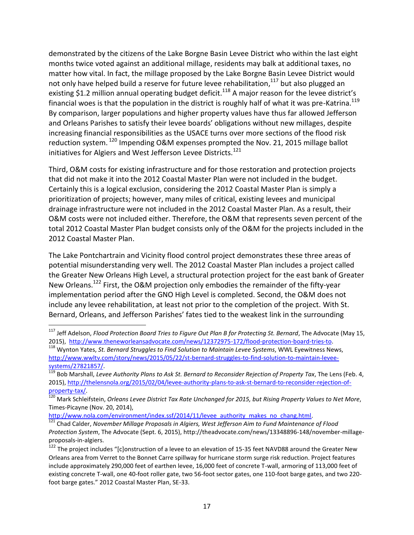demonstrated by the citizens of the Lake Borgne Basin Levee District who within the last eight months twice voted against an additional millage, residents may balk at additional taxes, no matter how vital. In fact, the millage proposed by the Lake Borgne Basin Levee District would not only have helped build a reserve for future levee rehabilitation,<sup>117</sup> but also plugged an existing \$1.2 million annual operating budget deficit.<sup>118</sup> A major reason for the levee district's financial woes is that the population in the district is roughly half of what it was pre-Katrina.<sup>119</sup> By comparison, larger populations and higher property values have thus far allowed Jefferson and Orleans Parishes to satisfy their levee boards' obligations without new millages, despite increasing financial responsibilities as the USACE turns over more sections of the flood risk reduction system. <sup>120</sup> Impending O&M expenses prompted the Nov. 21, 2015 millage ballot initiatives for Algiers and West Jefferson Levee Districts.<sup>121</sup>

Third, O&M costs for existing infrastructure and for those restoration and protection projects that did not make it into the 2012 Coastal Master Plan were not included in the budget. Certainly this is a logical exclusion, considering the 2012 Coastal Master Plan is simply a prioritization of projects; however, many miles of critical, existing levees and municipal drainage infrastructure were not included in the 2012 Coastal Master Plan. As a result, their O&M costs were not included either. Therefore, the O&M that represents seven percent of the total 2012 Coastal Master Plan budget consists only of the O&M for the projects included in the 2012 Coastal Master Plan.

The Lake Pontchartrain and Vicinity flood control project demonstrates these three areas of potential misunderstanding very well. The 2012 Coastal Master Plan includes a project called the Greater New Orleans High Level, a structural protection project for the east bank of Greater New Orleans.<sup>122</sup> First, the O&M projection only embodies the remainder of the fifty-year implementation period after the GNO High Level is completed. Second, the O&M does not include any levee rehabilitation, at least not prior to the completion of the project. With St. Bernard, Orleans, and Jefferson Parishes' fates tied to the weakest link in the surrounding

[http://www.nola.com/environment/index.ssf/2014/11/levee\\_authority\\_makes\\_no\\_chang.html.](http://www.nola.com/environment/index.ssf/2014/11/levee_authority_makes_no_chang.html)

<sup>117</sup> Jeff Adelson, *Flood Protection Board Tries to Figure Out Plan B for Protecting St. Bernard*, The Advocate (May 15, 2015), [http://www.theneworleansadvocate.com/news/12372975-172/flood-protection-board-tries-to.](http://www.theneworleansadvocate.com/news/12372975-172/flood-protection-board-tries-to)

<sup>118</sup> Wynton Yates, *St. Bernard Struggles to Find Solution to Maintain Levee Systems*, WWL Eyewitness News, [http://www.wwltv.com/story/news/2015/05/22/st-bernard-struggles-to-find-solution-to-maintain-levee](http://www.wwltv.com/story/news/2015/05/22/st-bernard-struggles-to-find-solution-to-maintain-levee-systems/27821857/)[systems/27821857/.](http://www.wwltv.com/story/news/2015/05/22/st-bernard-struggles-to-find-solution-to-maintain-levee-systems/27821857/)

<sup>119</sup> Bob Marshall, *Levee Authority Plans to Ask St. Bernard to Reconsider Rejection of Property Tax*, The Lens (Feb. 4, 2015), [http://thelensnola.org/2015/02/04/levee-authority-plans-to-ask-st-bernard-to-reconsider-rejection-of](http://thelensnola.org/2015/02/04/levee-authority-plans-to-ask-st-bernard-to-reconsider-rejection-of-property-tax/)[property-tax/.](http://thelensnola.org/2015/02/04/levee-authority-plans-to-ask-st-bernard-to-reconsider-rejection-of-property-tax/)

<sup>120</sup> Mark Schleifstein, *Orleans Levee District Tax Rate Unchanged for 2015, but Rising Property Values to Net More*, Times-Picayne (Nov. 20, 2014),

<sup>121</sup> Chad Calder, *November Millage Proposals in Algiers, West Jefferson Aim to Fund Maintenance of Flood Protection System*, The Advocate (Sept. 6, 2015), http://theadvocate.com/news/13348896-148/november-millageproposals-in-algiers.

<sup>&</sup>lt;sup>122</sup> The project includes "[c]onstruction of a levee to an elevation of 15-35 feet NAVD88 around the Greater New Orleans area from Verret to the Bonnet Carre spillway for hurricane storm surge risk reduction. Project features include approximately 290,000 feet of earthen levee, 16,000 feet of concrete T-wall, armoring of 113,000 feet of existing concrete T-wall, one 40-foot roller gate, two 56-foot sector gates, one 110-foot barge gates, and two 220 foot barge gates." 2012 Coastal Master Plan, SE-33.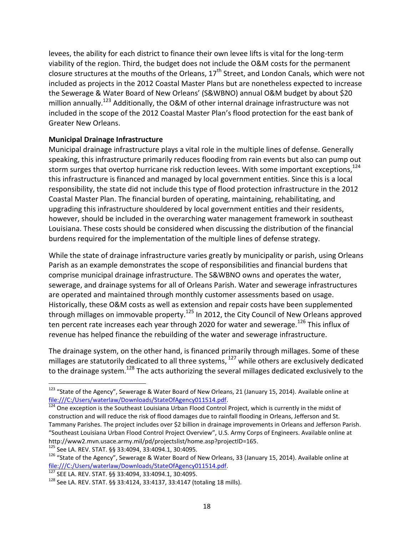levees, the ability for each district to finance their own levee lifts is vital for the long-term viability of the region. Third, the budget does not include the O&M costs for the permanent closure structures at the mouths of the Orleans,  $17<sup>th</sup>$  Street, and London Canals, which were not included as projects in the 2012 Coastal Master Plans but are nonetheless expected to increase the Sewerage & Water Board of New Orleans' (S&WBNO) annual O&M budget by about \$20 million annually.<sup>123</sup> Additionally, the O&M of other internal drainage infrastructure was not included in the scope of the 2012 Coastal Master Plan's flood protection for the east bank of Greater New Orleans.

### **Municipal Drainage Infrastructure**

Municipal drainage infrastructure plays a vital role in the multiple lines of defense. Generally speaking, this infrastructure primarily reduces flooding from rain events but also can pump out storm surges that overtop hurricane risk reduction levees. With some important exceptions,<sup>124</sup> this infrastructure is financed and managed by local government entities. Since this is a local responsibility, the state did not include this type of flood protection infrastructure in the 2012 Coastal Master Plan. The financial burden of operating, maintaining, rehabilitating, and upgrading this infrastructure shouldered by local government entities and their residents, however, should be included in the overarching water management framework in southeast Louisiana. These costs should be considered when discussing the distribution of the financial burdens required for the implementation of the multiple lines of defense strategy.

While the state of drainage infrastructure varies greatly by municipality or parish, using Orleans Parish as an example demonstrates the scope of responsibilities and financial burdens that comprise municipal drainage infrastructure. The S&WBNO owns and operates the water, sewerage, and drainage systems for all of Orleans Parish. Water and sewerage infrastructures are operated and maintained through monthly customer assessments based on usage. Historically, these O&M costs as well as extension and repair costs have been supplemented through millages on immovable property.<sup>125</sup> In 2012, the City Council of New Orleans approved ten percent rate increases each year through 2020 for water and sewerage.<sup>126</sup> This influx of revenue has helped finance the rebuilding of the water and sewerage infrastructure.

The drainage system, on the other hand, is financed primarily through millages. Some of these millages are statutorily dedicated to all three systems, <sup>127</sup> while others are exclusively dedicated to the drainage system.<sup>128</sup> The acts authorizing the several millages dedicated exclusively to the

<sup>&</sup>lt;sup>123</sup> "State of the Agency", Sewerage & Water Board of New Orleans, 21 (January 15, 2014). Available online at [file:///C:/Users/waterlaw/Downloads/StateOfAgency011514.pdf.](file:///C:/Users/waterlaw/Downloads/StateOfAgency011514.pdf)

<sup>&</sup>lt;sup>124</sup> One exception is the Southeast Louisiana Urban Flood Control Project, which is currently in the midst of construction and will reduce the risk of flood damages due to rainfall flooding in Orleans, Jefferson and St. Tammany Parishes. The project includes over \$2 billion in drainage improvements in Orleans and Jefferson Parish. "Southeast Louisiana Urban Flood Control Project Overview", U.S. Army Corps of Engineers. Available online at http://www2.mvn.usace.army.mil/pd/projectslist/home.asp?projectID=165.

<sup>125</sup> See LA. REV. STAT. §§ 33:4094, 33:4094.1, 30:4095.

<sup>&</sup>lt;sup>126</sup> "State of the Agency", Sewerage & Water Board of New Orleans, 33 (January 15, 2014). Available online at [file:///C:/Users/waterlaw/Downloads/StateOfAgency011514.pdf.](file:///C:/Users/waterlaw/Downloads/StateOfAgency011514.pdf)

<sup>127</sup> SEE LA. REV. STAT. §§ 33:4094, 33:4094.1, 30:4095.

<sup>128</sup> See LA. REV. STAT. §§ 33:4124, 33:4137, 33:4147 (totaling 18 mills).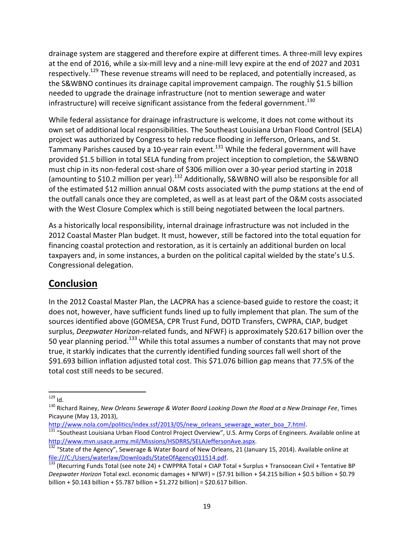drainage system are staggered and therefore expire at different times. A three-mill levy expires at the end of 2016, while a six-mill levy and a nine-mill levy expire at the end of 2027 and 2031 respectively.<sup>129</sup> These revenue streams will need to be replaced, and potentially increased, as the S&WBNO continues its drainage capital improvement campaign. The roughly \$1.5 billion needed to upgrade the drainage infrastructure (not to mention sewerage and water infrastructure) will receive significant assistance from the federal government. $^{130}$ 

While federal assistance for drainage infrastructure is welcome, it does not come without its own set of additional local responsibilities. The Southeast Louisiana Urban Flood Control (SELA) project was authorized by Congress to help reduce flooding in Jefferson, Orleans, and St. Tammany Parishes caused by a 10-year rain event.<sup>131</sup> While the federal government will have provided \$1.5 billion in total SELA funding from project inception to completion, the S&WBNO must chip in its non-federal cost-share of \$306 million over a 30-year period starting in 2018 (amounting to \$10.2 million per year).<sup>132</sup> Additionally, S&WBNO will also be responsible for all of the estimated \$12 million annual O&M costs associated with the pump stations at the end of the outfall canals once they are completed, as well as at least part of the O&M costs associated with the West Closure Complex which is still being negotiated between the local partners.

As a historically local responsibility, internal drainage infrastructure was not included in the 2012 Coastal Master Plan budget. It must, however, still be factored into the total equation for financing coastal protection and restoration, as it is certainly an additional burden on local taxpayers and, in some instances, a burden on the political capital wielded by the state's U.S. Congressional delegation.

# **Conclusion**

In the 2012 Coastal Master Plan, the LACPRA has a science-based guide to restore the coast; it does not, however, have sufficient funds lined up to fully implement that plan. The sum of the sources identified above (GOMESA, CPR Trust Fund, DOTD Transfers, CWPRA, CIAP, budget surplus, *Deepwater Horizon*-related funds, and NFWF) is approximately \$20.617 billion over the 50 year planning period.<sup>133</sup> While this total assumes a number of constants that may not prove true, it starkly indicates that the currently identified funding sources fall well short of the \$91.693 billion inflation adjusted total cost. This \$71.076 billion gap means that 77.5% of the total cost still needs to be secured.

 $\overline{a}$  $^{129}$  Id.

<sup>130</sup> Richard Rainey, *New Orleans Sewerage & Water Board Looking Down the Road at a New Drainage Fee*, Times Picayune (May 13, 2013),

[http://www.nola.com/politics/index.ssf/2013/05/new\\_orleans\\_sewerage\\_water\\_boa\\_7.html.](http://www.nola.com/politics/index.ssf/2013/05/new_orleans_sewerage_water_boa_7.html)

<sup>&</sup>lt;sup>131</sup> "Southeast Louisiana Urban Flood Control Project Overview", U.S. Army Corps of Engineers. Available online at [http://www.mvn.usace.army.mil/Missions/HSDRRS/SELAJeffersonAve.aspx.](http://www.mvn.usace.army.mil/Missions/HSDRRS/SELAJeffersonAve.aspx)

<sup>&</sup>lt;sup>132</sup> "State of the Agency", Sewerage & Water Board of New Orleans, 21 (January 15, 2014). Available online at [file:///C:/Users/waterlaw/Downloads/StateOfAgency011514.pdf.](file:///C:/Users/waterlaw/Downloads/StateOfAgency011514.pdf)

<sup>133 (</sup>Recurring Funds Total (see note 24) + CWPPRA Total + CIAP Total + Surplus + Transocean Civil + Tentative BP *Deepwater Horizon* Total excl. economic damages + NFWF) = (\$7.91 billion + \$4.215 billion + \$0.5 billion + \$0.79 billion + \$0.143 billion + \$5.787 billion + \$1.272 billion) = \$20.617 billion.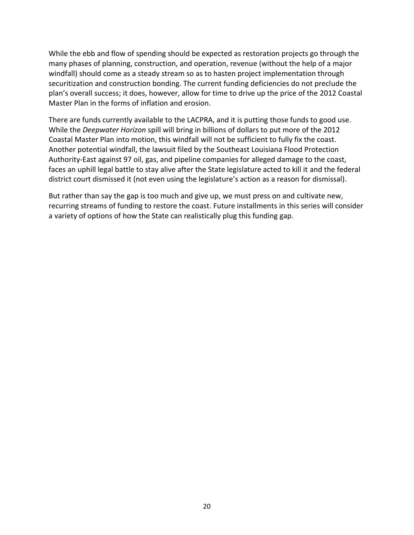While the ebb and flow of spending should be expected as restoration projects go through the many phases of planning, construction, and operation, revenue (without the help of a major windfall) should come as a steady stream so as to hasten project implementation through securitization and construction bonding. The current funding deficiencies do not preclude the plan's overall success; it does, however, allow for time to drive up the price of the 2012 Coastal Master Plan in the forms of inflation and erosion.

There are funds currently available to the LACPRA, and it is putting those funds to good use. While the *Deepwater Horizon* spill will bring in billions of dollars to put more of the 2012 Coastal Master Plan into motion, this windfall will not be sufficient to fully fix the coast. Another potential windfall, the lawsuit filed by the Southeast Louisiana Flood Protection Authority-East against 97 oil, gas, and pipeline companies for alleged damage to the coast, faces an uphill legal battle to stay alive after the State legislature acted to kill it and the federal district court dismissed it (not even using the legislature's action as a reason for dismissal).

But rather than say the gap is too much and give up, we must press on and cultivate new, recurring streams of funding to restore the coast. Future installments in this series will consider a variety of options of how the State can realistically plug this funding gap.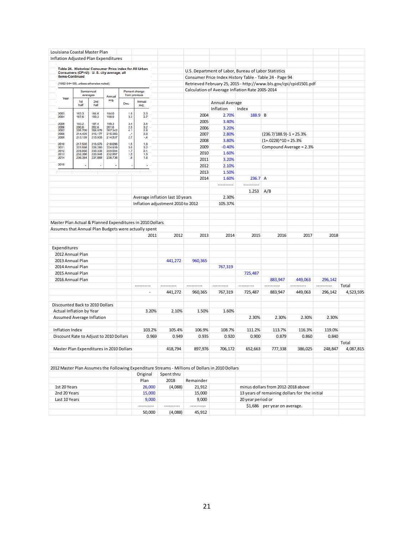| Louisiana Coastal Master Plan                             |                                                              |                    |                    |                  |                                 |        |                                   |                                                         |                                                                                                                      |                   |                                               |         |            |           |  |  |
|-----------------------------------------------------------|--------------------------------------------------------------|--------------------|--------------------|------------------|---------------------------------|--------|-----------------------------------|---------------------------------------------------------|----------------------------------------------------------------------------------------------------------------------|-------------------|-----------------------------------------------|---------|------------|-----------|--|--|
| Inflation Adjusted Plan Expenditures                      |                                                              |                    |                    |                  |                                 |        |                                   |                                                         |                                                                                                                      |                   |                                               |         |            |           |  |  |
|                                                           | Table 24. Historical Consumer Price Index for All Urban      |                    |                    |                  |                                 |        |                                   |                                                         |                                                                                                                      |                   |                                               |         |            |           |  |  |
|                                                           | Consumers (CPI-U): U.S. city average, all<br>items-Continued |                    |                    |                  |                                 |        |                                   |                                                         | U.S. Department of Labor, Bureau of Labor Statistics                                                                 |                   |                                               |         |            |           |  |  |
|                                                           | (1982-84=100, unless otherwise noted)                        |                    |                    |                  |                                 |        |                                   | Consumer Price Index History Table - Table 24 - Page 94 |                                                                                                                      |                   |                                               |         |            |           |  |  |
|                                                           |                                                              |                    |                    |                  |                                 |        |                                   |                                                         | Retrieved February 25, 2015 - http://www.bls.gov/cpi/cpid1501.pdf<br>Calculation of Average Inflation Rate 2005-2014 |                   |                                               |         |            |           |  |  |
|                                                           | Semiannual<br>averages                                       |                    | Annual             |                  | Percent change<br>from previous |        |                                   |                                                         |                                                                                                                      |                   |                                               |         |            |           |  |  |
| Year                                                      | 1st                                                          | 2 <sub>nd</sub>    | avg.               | Dec.             | Annual                          |        |                                   |                                                         | Annual Average                                                                                                       |                   |                                               |         |            |           |  |  |
|                                                           | half                                                         | half               |                    |                  | avg.                            |        |                                   |                                                         | Inflation                                                                                                            | Index             |                                               |         |            |           |  |  |
| 2003<br>2004                                              | 183.3<br>187.6                                               | 184.6<br>190.2     | 184.0<br>188.9     | 1.9<br>3.3       | $\frac{2.3}{2.7}$               |        |                                   | 2004                                                    | 2.70%                                                                                                                | 188.9 B           |                                               |         |            |           |  |  |
| 2005                                                      | 193.2                                                        | 197.4              | 195.3              | 3.4              | 3.4                             |        |                                   | 2005                                                    | 3.40%                                                                                                                |                   |                                               |         |            |           |  |  |
| 2006                                                      | 200.6                                                        | 202.6              | 201.6              | 2.5              | 3.2                             |        |                                   | 2006                                                    | 3.20%                                                                                                                |                   |                                               |         |            |           |  |  |
| 2007<br>2008                                              | 205.709<br>214.429                                           | 208.976<br>216.177 | 207.342<br>215,303 | 4.1<br>$\cdot$ 1 | 2.8<br>3.8                      |        |                                   | 2007                                                    | 2.80%                                                                                                                |                   | $(236.7/188.9) - 1 = 25.3%$                   |         |            |           |  |  |
| 2009                                                      | 213.139                                                      | 215.935            | 214.537            | 2.7              | $-4$                            |        |                                   | 2008                                                    | 3.80%                                                                                                                |                   | $(1+.0228)^{0.10} = 25.3%$                    |         |            |           |  |  |
| 2010<br>2011                                              | 217.535<br>223.598                                           | 218.576<br>226.280 | 218.056<br>224.939 | 1.5<br>3.0       | 1.6<br>3.2                      |        |                                   | 2009                                                    | $-0.40%$                                                                                                             |                   | Compound Average = 2.3%                       |         |            |           |  |  |
| 2012<br>2013                                              | 228.850<br>232.366                                           | 230.338<br>233.548 | 229.594<br>232.957 | 1.7<br>1.5       | 2.1<br>1.5                      |        |                                   | 2010                                                    | 1.60%                                                                                                                |                   |                                               |         |            |           |  |  |
| 2014                                                      | 236.384                                                      | 237.088            | 236.736            | .8               | 1.6                             |        |                                   | 2011                                                    | 3.20%                                                                                                                |                   |                                               |         |            |           |  |  |
| 2015                                                      |                                                              |                    |                    |                  | ٠                               |        |                                   | 2012                                                    | 2.10%                                                                                                                |                   |                                               |         |            |           |  |  |
|                                                           |                                                              |                    |                    |                  |                                 |        |                                   | 2013                                                    | 1.50%                                                                                                                |                   |                                               |         |            |           |  |  |
|                                                           |                                                              |                    |                    |                  |                                 |        |                                   | 2014                                                    | 1.60%                                                                                                                | $236.7$ A         |                                               |         |            |           |  |  |
|                                                           |                                                              |                    |                    |                  |                                 |        |                                   |                                                         | ----------                                                                                                           |                   |                                               |         |            |           |  |  |
|                                                           |                                                              |                    |                    |                  |                                 |        |                                   |                                                         |                                                                                                                      | 1.253             | A/B                                           |         |            |           |  |  |
|                                                           |                                                              |                    |                    |                  |                                 |        | Average inflation last 10 years   |                                                         | 2.30%                                                                                                                |                   |                                               |         |            |           |  |  |
|                                                           |                                                              |                    |                    |                  |                                 |        | Inflation adjustment 2010 to 2012 |                                                         | 105.37%                                                                                                              |                   |                                               |         |            |           |  |  |
|                                                           |                                                              |                    |                    |                  |                                 |        |                                   |                                                         |                                                                                                                      |                   |                                               |         |            |           |  |  |
|                                                           |                                                              |                    |                    |                  |                                 |        |                                   |                                                         |                                                                                                                      |                   |                                               |         |            |           |  |  |
| Master Plan Actual & Planned Expenditures in 2010 Dollars |                                                              |                    |                    |                  |                                 |        |                                   |                                                         |                                                                                                                      |                   |                                               |         |            |           |  |  |
| Assumes that Annual Plan Budgets were actually spent      |                                                              |                    |                    |                  |                                 |        |                                   |                                                         |                                                                                                                      |                   |                                               |         |            |           |  |  |
|                                                           |                                                              |                    |                    |                  |                                 | 2011   | 2012                              | 2013                                                    | 2014                                                                                                                 | 2015              | 2016                                          | 2017    | 2018       |           |  |  |
|                                                           |                                                              |                    |                    |                  |                                 |        |                                   |                                                         |                                                                                                                      |                   |                                               |         |            |           |  |  |
| Expenditures                                              | 2012 Annual Plan                                             |                    |                    |                  |                                 |        |                                   |                                                         |                                                                                                                      |                   |                                               |         |            |           |  |  |
|                                                           | 2013 Annual Plan                                             |                    |                    |                  |                                 |        | 441,272                           | 960,365                                                 |                                                                                                                      |                   |                                               |         |            |           |  |  |
|                                                           | 2014 Annual Plan                                             |                    |                    |                  |                                 |        |                                   |                                                         | 767,319                                                                                                              |                   |                                               |         |            |           |  |  |
|                                                           | 2015 Annual Plan                                             |                    |                    |                  |                                 |        |                                   |                                                         |                                                                                                                      | 725,487           |                                               |         |            |           |  |  |
|                                                           | 2016 Annual Plan                                             |                    |                    |                  |                                 |        |                                   |                                                         |                                                                                                                      |                   | 883,947                                       | 449,063 | 296,142    |           |  |  |
|                                                           |                                                              |                    |                    |                  |                                 |        |                                   |                                                         |                                                                                                                      | .                 |                                               |         | ---------- | Total     |  |  |
|                                                           |                                                              |                    |                    |                  |                                 | $\sim$ | 441,272                           | 960,365                                                 | 767,319                                                                                                              | 725,487           | 883,947                                       | 449,063 | 296,142    | 4,523,595 |  |  |
|                                                           |                                                              |                    |                    |                  |                                 |        |                                   |                                                         |                                                                                                                      |                   |                                               |         |            |           |  |  |
|                                                           | Discounted Back to 2010 Dollars                              |                    |                    |                  |                                 |        |                                   |                                                         |                                                                                                                      |                   |                                               |         |            |           |  |  |
|                                                           | Actual Inflation by Year                                     |                    |                    |                  |                                 | 3.20%  | 2.10%                             | 1.50%                                                   | 1.60%                                                                                                                |                   |                                               |         |            |           |  |  |
|                                                           | Assumed Average Inflation                                    |                    |                    |                  |                                 |        |                                   |                                                         |                                                                                                                      | 2.30%             | 2.30%                                         | 2.30%   | 2.30%      |           |  |  |
|                                                           |                                                              |                    |                    |                  |                                 |        |                                   |                                                         |                                                                                                                      |                   |                                               |         |            |           |  |  |
| Inflation Index                                           |                                                              |                    |                    |                  |                                 | 103.2% | 105.4%                            | 106.9%                                                  | 108.7%                                                                                                               | 111.2%            | 113.7%                                        | 116.3%  | 119.0%     |           |  |  |
|                                                           | Discount Rate to Adjust to 2010 Dollars                      |                    |                    |                  |                                 | 0.969  | 0.949                             | 0.935                                                   | 0.920                                                                                                                | 0.900             | 0.879                                         | 0.860   | 0.840      |           |  |  |
|                                                           |                                                              |                    |                    |                  |                                 |        |                                   |                                                         |                                                                                                                      |                   |                                               |         |            | Total     |  |  |
|                                                           | Master Plan Expenditures in 2010 Dollars                     |                    |                    |                  |                                 |        | 418,794                           | 897.976                                                 | 706,172                                                                                                              | 652,663           | 777,338                                       | 386,025 | 248,847    | 4,087,815 |  |  |
|                                                           |                                                              |                    |                    |                  |                                 |        |                                   |                                                         |                                                                                                                      |                   |                                               |         |            |           |  |  |
|                                                           |                                                              |                    |                    |                  |                                 |        |                                   |                                                         |                                                                                                                      |                   |                                               |         |            |           |  |  |
|                                                           |                                                              |                    |                    |                  |                                 |        |                                   |                                                         | 2012 Master Plan Assumes the Following Expenditure Streams - Millions of Dollars in 2010 Dollars                     |                   |                                               |         |            |           |  |  |
|                                                           |                                                              |                    |                    |                  | Original                        |        | Spent thru                        |                                                         |                                                                                                                      |                   |                                               |         |            |           |  |  |
|                                                           |                                                              |                    |                    |                  | Plan                            |        | 2018                              | Remainder                                               |                                                                                                                      |                   |                                               |         |            |           |  |  |
| 1st 20 Years                                              |                                                              |                    |                    |                  | 26,000                          |        | (4,088)                           | 21,912                                                  |                                                                                                                      |                   | minus dollars from 2012-2018 above            |         |            |           |  |  |
| 2nd 20 Years                                              |                                                              |                    |                    |                  | 15,000                          |        |                                   | 15,000                                                  |                                                                                                                      |                   | 13 years of remaining dollars for the initial |         |            |           |  |  |
| Last 10 Years                                             |                                                              |                    |                    |                  | ----------                      | 9,000  | ----------                        | 9,000<br>----------                                     |                                                                                                                      | 20 year period or | \$1,686   per year on average.                |         |            |           |  |  |
|                                                           |                                                              |                    |                    |                  | 50,000                          |        | (4,088)                           | 45,912                                                  |                                                                                                                      |                   |                                               |         |            |           |  |  |
|                                                           |                                                              |                    |                    |                  |                                 |        |                                   |                                                         |                                                                                                                      |                   |                                               |         |            |           |  |  |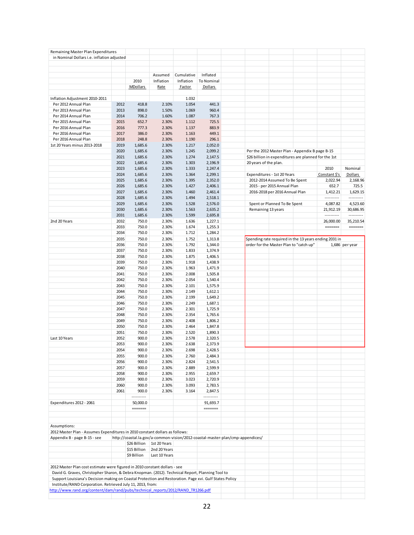| Remaining Master Plan Expenditures                                                                      |      |                 |               |            |                                                                                |                                         |                                |                                                      |                                                       |                |
|---------------------------------------------------------------------------------------------------------|------|-----------------|---------------|------------|--------------------------------------------------------------------------------|-----------------------------------------|--------------------------------|------------------------------------------------------|-------------------------------------------------------|----------------|
| in Nominal Dollars i.e. inflation adjusted                                                              |      |                 |               |            |                                                                                |                                         |                                |                                                      |                                                       |                |
|                                                                                                         |      |                 |               |            |                                                                                |                                         |                                |                                                      |                                                       |                |
|                                                                                                         |      |                 |               |            |                                                                                |                                         |                                |                                                      |                                                       |                |
|                                                                                                         |      |                 |               |            |                                                                                |                                         |                                |                                                      |                                                       |                |
|                                                                                                         |      |                 | Assumed       | Cumulative | Inflated                                                                       |                                         |                                |                                                      |                                                       |                |
|                                                                                                         |      | 2010            | Inflation     | Inflation  | To Nominal                                                                     |                                         |                                |                                                      |                                                       |                |
|                                                                                                         |      | <b>MDollars</b> | Rate          | Factor     | Dollars                                                                        |                                         |                                |                                                      |                                                       |                |
|                                                                                                         |      |                 |               |            |                                                                                |                                         |                                |                                                      |                                                       |                |
|                                                                                                         |      |                 |               |            |                                                                                |                                         |                                |                                                      |                                                       |                |
| Inflation Adjustment 2010-2011                                                                          |      |                 |               | 1.032      |                                                                                |                                         |                                |                                                      |                                                       |                |
| Per 2012 Annual Plan                                                                                    | 2012 | 418.8           | 2.10%         | 1.054      | 441.3                                                                          |                                         |                                |                                                      |                                                       |                |
| Per 2013 Annual Plan                                                                                    | 2013 | 898.0           | 1.50%         | 1.069      | 960.4                                                                          |                                         |                                |                                                      |                                                       |                |
| Per 2014 Annual Plan                                                                                    | 2014 | 706.2           | 1.60%         | 1.087      | 767.3                                                                          |                                         |                                |                                                      |                                                       |                |
| Per 2015 Annual Plan                                                                                    | 2015 | 652.7           | 2.30%         | 1.112      | 725.5                                                                          |                                         |                                |                                                      |                                                       |                |
| Per 2016 Annual Plan                                                                                    | 2016 | 777.3           | 2.30%         | 1.137      | 883.9                                                                          |                                         |                                |                                                      |                                                       |                |
|                                                                                                         |      |                 |               |            |                                                                                |                                         |                                |                                                      |                                                       |                |
| Per 2016 Annual Plan                                                                                    | 2017 | 386.0           | 2.30%         | 1.163      | 449.1                                                                          |                                         |                                |                                                      |                                                       |                |
| Per 2016 Annual Plan                                                                                    | 2018 | 248.8           | 2.30%         | 1.190      | 296.1                                                                          |                                         |                                |                                                      |                                                       |                |
| 1st 20 Years minus 2013-2018                                                                            | 2019 | 1,685.6         | 2.30%         | 1.217      | 2,052.0                                                                        |                                         |                                |                                                      |                                                       |                |
|                                                                                                         | 2020 | 1,685.6         | 2.30%         | 1.245      | 2,099.2                                                                        |                                         |                                | Per the 2012 Master Plan - Appendix B page B-15      |                                                       |                |
|                                                                                                         | 2021 | 1,685.6         | 2.30%         | 1.274      | 2,147.5                                                                        |                                         |                                | \$26 billion in expenditures are planned for the 1st |                                                       |                |
|                                                                                                         |      |                 |               |            |                                                                                |                                         |                                |                                                      |                                                       |                |
|                                                                                                         | 2022 | 1,685.6         | 2.30%         | 1.303      | 2,196.9                                                                        | 20 years of the plan.                   |                                |                                                      |                                                       |                |
|                                                                                                         | 2023 | 1,685.6         | 2.30%         | 1.333      | 2,247.4                                                                        |                                         |                                |                                                      | 2010                                                  | Nominal        |
|                                                                                                         | 2024 | 1,685.6         | 2.30%         | 1.364      | 2,299.1                                                                        | Expenditures - 1st 20 Years             |                                |                                                      | Constant \$'s                                         | Dollars        |
|                                                                                                         | 2025 | 1,685.6         | 2.30%         | 1.395      | 2,352.0                                                                        |                                         | 2012-2014 Assumed To Be Spent  |                                                      | 2,022.94                                              | 2,168.96       |
|                                                                                                         | 2026 | 1,685.6         | 2.30%         | 1.427      | 2,406.1                                                                        |                                         | 2015 - per 2015 Annual Plan    |                                                      | 652.7                                                 | 725.5          |
|                                                                                                         |      |                 |               |            |                                                                                |                                         |                                |                                                      |                                                       |                |
|                                                                                                         | 2027 | 1,685.6         | 2.30%         | 1.460      | 2,461.4                                                                        |                                         | 2016-2018 per 2016 Annual Plan |                                                      | 1,412.21                                              | 1,629.15       |
|                                                                                                         | 2028 | 1,685.6         | 2.30%         | 1.494      | 2,518.1                                                                        |                                         |                                |                                                      |                                                       | ----------     |
|                                                                                                         | 2029 | 1,685.6         | 2.30%         | 1.528      | 2,576.0                                                                        |                                         | Spent or Planned To Be Spent   |                                                      | 4,087.82                                              | 4,523.60       |
|                                                                                                         | 2030 | 1,685.6         | 2.30%         | 1.563      | 2,635.2                                                                        | Remaining 13 years                      |                                |                                                      | 21,912.19                                             | 30,686.95      |
|                                                                                                         | 2031 | 1,685.6         | 2.30%         | 1.599      | 2,695.8                                                                        |                                         |                                |                                                      | ----------                                            | ----------     |
|                                                                                                         |      |                 |               |            |                                                                                |                                         |                                |                                                      |                                                       |                |
| 2nd 20 Years                                                                                            | 2032 | 750.0           | 2.30%         | 1.636      | 1,227.1                                                                        |                                         |                                |                                                      | 26,000.00                                             | 35,210.54      |
|                                                                                                         | 2033 | 750.0           | 2.30%         | 1.674      | 1,255.3                                                                        |                                         |                                |                                                      |                                                       |                |
|                                                                                                         | 2034 | 750.0           | 2.30%         | 1.712      | 1,284.2                                                                        |                                         |                                |                                                      |                                                       |                |
|                                                                                                         | 2035 | 750.0           | 2.30%         | 1.752      | 1,313.8                                                                        |                                         |                                |                                                      | Spending rate required in the 13 years ending 2031 in |                |
|                                                                                                         | 2036 | 750.0           | 2.30%         | 1.792      | 1,344.0                                                                        | order for the Master Plan to "catch up" |                                |                                                      |                                                       |                |
|                                                                                                         |      |                 |               |            |                                                                                |                                         |                                |                                                      |                                                       | 1,686 per year |
|                                                                                                         | 2037 | 750.0           | 2.30%         | 1.833      | 1,374.9                                                                        |                                         |                                |                                                      |                                                       |                |
|                                                                                                         | 2038 | 750.0           | 2.30%         | 1.875      | 1,406.5                                                                        |                                         |                                |                                                      |                                                       |                |
|                                                                                                         | 2039 | 750.0           | 2.30%         | 1.918      | 1,438.9                                                                        |                                         |                                |                                                      |                                                       |                |
|                                                                                                         | 2040 | 750.0           | 2.30%         | 1.963      | 1,471.9                                                                        |                                         |                                |                                                      |                                                       |                |
|                                                                                                         |      |                 |               |            |                                                                                |                                         |                                |                                                      |                                                       |                |
|                                                                                                         | 2041 | 750.0           | 2.30%         | 2.008      | 1,505.8                                                                        |                                         |                                |                                                      |                                                       |                |
|                                                                                                         | 2042 | 750.0           | 2.30%         | 2.054      | 1,540.4                                                                        |                                         |                                |                                                      |                                                       |                |
|                                                                                                         | 2043 | 750.0           | 2.30%         | 2.101      | 1,575.9                                                                        |                                         |                                |                                                      |                                                       |                |
|                                                                                                         | 2044 | 750.0           | 2.30%         | 2.149      | 1,612.1                                                                        |                                         |                                |                                                      |                                                       |                |
|                                                                                                         | 2045 | 750.0           | 2.30%         | 2.199      | 1,649.2                                                                        |                                         |                                |                                                      |                                                       |                |
|                                                                                                         |      |                 |               |            |                                                                                |                                         |                                |                                                      |                                                       |                |
|                                                                                                         | 2046 | 750.0           | 2.30%         | 2.249      | 1,687.1                                                                        |                                         |                                |                                                      |                                                       |                |
|                                                                                                         | 2047 | 750.0           | 2.30%         | 2.301      | 1,725.9                                                                        |                                         |                                |                                                      |                                                       |                |
|                                                                                                         | 2048 | 750.0           | 2.30%         | 2.354      | 1,765.6                                                                        |                                         |                                |                                                      |                                                       |                |
|                                                                                                         | 2049 | 750.0           | 2.30%         | 2.408      | 1,806.2                                                                        |                                         |                                |                                                      |                                                       |                |
|                                                                                                         | 2050 | 750.0           | 2.30%         | 2.464      | 1,847.8                                                                        |                                         |                                |                                                      |                                                       |                |
|                                                                                                         |      |                 |               |            |                                                                                |                                         |                                |                                                      |                                                       |                |
|                                                                                                         | 2051 | 750.0           | 2.30%         | 2.520      | 1,890.3                                                                        |                                         |                                |                                                      |                                                       |                |
| Last 10 Years                                                                                           | 2052 | 900.0           | 2.30%         | 2.578      | 2,320.5                                                                        |                                         |                                |                                                      |                                                       |                |
|                                                                                                         | 2053 | 900.0           | 2.30%         | 2.638      | 2,373.9                                                                        |                                         |                                |                                                      |                                                       |                |
|                                                                                                         | 2054 | 900.0           | 2.30%         | 2.698      | 2,428.5                                                                        |                                         |                                |                                                      |                                                       |                |
|                                                                                                         |      |                 |               |            |                                                                                |                                         |                                |                                                      |                                                       |                |
|                                                                                                         | 2055 | 900.0           | 2.30%         | 2.760      | 2,484.3                                                                        |                                         |                                |                                                      |                                                       |                |
|                                                                                                         | 2056 | 900.0           | 2.30%         | 2.824      | 2,541.5                                                                        |                                         |                                |                                                      |                                                       |                |
|                                                                                                         | 2057 | 900.0           | 2.30%         | 2.889      | 2,599.9                                                                        |                                         |                                |                                                      |                                                       |                |
|                                                                                                         | 2058 | 900.0           | 2.30%         | 2.955      | 2,659.7                                                                        |                                         |                                |                                                      |                                                       |                |
|                                                                                                         | 2059 | 900.0           | 2.30%         | 3.023      | 2,720.9                                                                        |                                         |                                |                                                      |                                                       |                |
|                                                                                                         | 2060 | 900.0           | 2.30%         | 3.093      | 2,783.5                                                                        |                                         |                                |                                                      |                                                       |                |
|                                                                                                         |      |                 |               |            |                                                                                |                                         |                                |                                                      |                                                       |                |
|                                                                                                         | 2061 | 900.0           | 2.30%         | 3.164      | 2,847.5                                                                        |                                         |                                |                                                      |                                                       |                |
|                                                                                                         |      |                 |               |            |                                                                                |                                         |                                |                                                      |                                                       |                |
| Expenditures 2012 - 2061                                                                                |      | 50,000.0        |               |            | 91,693.7                                                                       |                                         |                                |                                                      |                                                       |                |
|                                                                                                         |      | =======         |               |            | =======                                                                        |                                         |                                |                                                      |                                                       |                |
|                                                                                                         |      |                 |               |            |                                                                                |                                         |                                |                                                      |                                                       |                |
|                                                                                                         |      |                 |               |            |                                                                                |                                         |                                |                                                      |                                                       |                |
|                                                                                                         |      |                 |               |            |                                                                                |                                         |                                |                                                      |                                                       |                |
| Assumptions:                                                                                            |      |                 |               |            |                                                                                |                                         |                                |                                                      |                                                       |                |
| 2012 Master Plan - Assumes Expenditures in 2010 constant dollars as follows:                            |      |                 |               |            |                                                                                |                                         |                                |                                                      |                                                       |                |
| Appendix B - page B-15 - see                                                                            |      |                 |               |            | http://coastal.la.gov/a-common-vision/2012-coastal-master-plan/cmp-appendices/ |                                         |                                |                                                      |                                                       |                |
|                                                                                                         |      |                 |               |            |                                                                                |                                         |                                |                                                      |                                                       |                |
|                                                                                                         |      | \$26 Billion    | 1st 20 Years  |            |                                                                                |                                         |                                |                                                      |                                                       |                |
|                                                                                                         |      | \$15 Billion    | 2nd 20 Years  |            |                                                                                |                                         |                                |                                                      |                                                       |                |
|                                                                                                         |      | \$9 Billion     | Last 10 Years |            |                                                                                |                                         |                                |                                                      |                                                       |                |
|                                                                                                         |      |                 |               |            |                                                                                |                                         |                                |                                                      |                                                       |                |
|                                                                                                         |      |                 |               |            |                                                                                |                                         |                                |                                                      |                                                       |                |
| 2012 Master Plan cost estimate were figured in 2010 constant dollars - see                              |      |                 |               |            |                                                                                |                                         |                                |                                                      |                                                       |                |
| David G. Graves, Christopher Sharon, & Debra Knopman. (2012). Technical Report, Planning Tool to        |      |                 |               |            |                                                                                |                                         |                                |                                                      |                                                       |                |
| Support Louisiana's Decision making on Coastal Protection and Restoration. Page xvi. Gulf States Policy |      |                 |               |            |                                                                                |                                         |                                |                                                      |                                                       |                |
| Institute/RAND Corporation. Retrieved July 11, 2013, from:                                              |      |                 |               |            |                                                                                |                                         |                                |                                                      |                                                       |                |
| http://www.rand.org/content/dam/rand/pubs/technical reports/2012/RAND TR1266.pdf                        |      |                 |               |            |                                                                                |                                         |                                |                                                      |                                                       |                |
|                                                                                                         |      |                 |               |            |                                                                                |                                         |                                |                                                      |                                                       |                |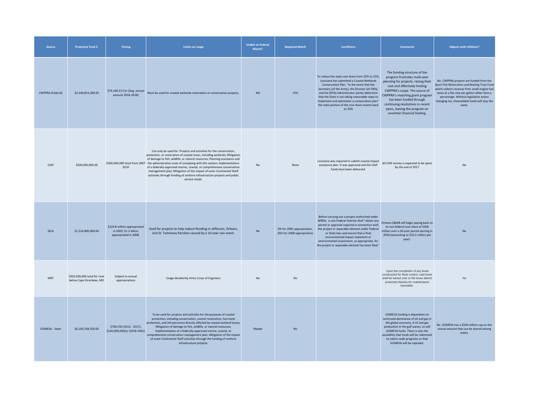| <b>Source</b>           | <b>Projected Total \$</b>                                 | <b>Timing</b>                                                                   | <b>Limits on usage</b>                                                                                                                                                                                                                                                                                                                                                                                                                                                                                                                                                                    | <b>Usable as Federal</b><br>Match? | <b>Required Match</b>                                    | <b>Conditions</b>                                                                                                                                                                                                                                                                                                                                                                                                | <b>Comments</b>                                                                                                                                                                                                                                                                                                                            | <b>Adjusts with inflation?</b>                                                                                                                                                                                                                                                                  |
|-------------------------|-----------------------------------------------------------|---------------------------------------------------------------------------------|-------------------------------------------------------------------------------------------------------------------------------------------------------------------------------------------------------------------------------------------------------------------------------------------------------------------------------------------------------------------------------------------------------------------------------------------------------------------------------------------------------------------------------------------------------------------------------------------|------------------------------------|----------------------------------------------------------|------------------------------------------------------------------------------------------------------------------------------------------------------------------------------------------------------------------------------------------------------------------------------------------------------------------------------------------------------------------------------------------------------------------|--------------------------------------------------------------------------------------------------------------------------------------------------------------------------------------------------------------------------------------------------------------------------------------------------------------------------------------------|-------------------------------------------------------------------------------------------------------------------------------------------------------------------------------------------------------------------------------------------------------------------------------------------------|
| <b>CWPPRA (Federal)</b> | \$3,340,814,280.00                                        | \$74,240,317/yr (Avg. annual<br>amount 2016-2018)                               | Must be used for coastal wetlands restoration or conservation projects.                                                                                                                                                                                                                                                                                                                                                                                                                                                                                                                   | <b>NO</b>                          | 15%                                                      | To reduce the state cost share from 25% to 15%<br>Louisiana has submitted a Coastal Wetlands<br>Conservation Plan. "In the event that the<br>Secretary (of the Army), the Director (of FWS),<br>and the (EPA) Administrator jointly determine<br>that the State is not taking reasonable steps to<br>implement and administer a conservation plan"<br>the state portion of the cost share reverts back<br>to 25% | The funding structure of the<br>program frustrates multi-year<br>planning for projects, raising their<br>cost and effectively limiting<br>CWPPRA's scope. The source of<br>CWPPRA's matching grant program<br>has been funded through<br>continuing resolutions in recent<br>years, leaving the program on<br>uncertain financial footing. | No. CWPPRA projects are funded from the<br>Sport Fish Restoration and Boating Trust Fund<br>which collects revenue from small-engine fuel<br>taxes at a flat rate per gallon rather than a<br>percentage. Without legislative action<br>changing tax, theavailable funds will stay the<br>same. |
| <b>CIAP</b>             | \$500,000,000.00                                          | 2010                                                                            | Can only be used for: Projects and activities for the conservation,<br>protection, or restoration of coastal areas, including wetlands; Mitigation<br>of damage to fish, wildlife, or natural resources; Planning assistance and<br>\$500,000,000 total from 2007 the administrative costs of complying with this section; Implementation<br>of a federally-approved marine, coastal, or comprehensive conservation<br>management plan; Mitigation of the impact of outer Continental Shelf<br>activities through funding of onshore infrastructure projects and public<br>service needs. | No                                 | None                                                     | Louisiana was required to submit coastal impact<br>assistance plan. It was approved and the CIAP<br>funds have been disbursed.                                                                                                                                                                                                                                                                                   | All CIAP money is expected to be spent<br>by the end of 2017                                                                                                                                                                                                                                                                               | No                                                                                                                                                                                                                                                                                              |
| SELA                    | \$1,524,800,000.00                                        | \$224.8 million appropriated<br>in 2005; \$1.3 billion<br>appropriated in 2008. | Used for projects to help reduce flooding in Jefferson, Orleans,<br>and St. Tammany Parishes caused by a 10-year rain event.                                                                                                                                                                                                                                                                                                                                                                                                                                                              | No                                 | 0% for 2005 appropriation,<br>35% for 2008 appropriation | Before carrying out a project authorized under<br>WRDA, a non-Federal interest shall "obtain any<br>permit or approval required in connection with<br>the project or separable element under Federal<br>or State law; and ensure that a final<br>environmental impact statement or<br>environmental assessment, as appropriate, for<br>the project or separable element has been filed."                         | Orleans S&WB will begin paying back its<br>its non-federal cost-share of \$306<br>million over a 30-year period starting in<br>2018 (amounting to \$10.2 million per<br>year).                                                                                                                                                             | No                                                                                                                                                                                                                                                                                              |
| <b>MRT</b>              | \$302,000,000 total for river<br>below Cape Girardeau, MO | Subject to annual<br>appropriations                                             | Usage decided by Army Corps of Engineers                                                                                                                                                                                                                                                                                                                                                                                                                                                                                                                                                  | No                                 | No                                                       |                                                                                                                                                                                                                                                                                                                                                                                                                  | Upon the completion of any levee<br>constructed for flood control, said levee<br>shall be turned over to the levee district<br>protected thereby for maintenance<br>thereafter.                                                                                                                                                            | No                                                                                                                                                                                                                                                                                              |
| <b>GOMESA - State</b>   | \$6,160,768,550.00                                        | \$768,550 (2012 - 2017);<br>\$140,000,000/yr (2018-2061)                        | To be used for projects and activities for the purposes of coastal<br>protection, including conservation, coastal restoration, hurricane<br>protection, and infrastructure directly affected by coastal wetland losses;<br>Mitigation of damage to fish, wildlife, or natural resources;<br>Implementation of a federally-approved marine, coastal, or<br>comprehensive conservation management plan; Mitigation of the impact<br>of outer Continental Shelf activities through the funding of onshore<br>infrastructure projects.                                                        | Maybe                              | No                                                       |                                                                                                                                                                                                                                                                                                                                                                                                                  | GOMESA funding is dependent on<br>continued dominance of oil and gas in<br>the global economy, if oil and gas<br>production in the gulf wanes, so will<br>GOMESA funds. There is also the<br>possibility that funds will be redirected<br>to nation-wide programs or that<br>GOMESA will be repealed.                                      | No. GOMESA has a \$500 million cap on the<br>annual amount that can be shared among<br>states.                                                                                                                                                                                                  |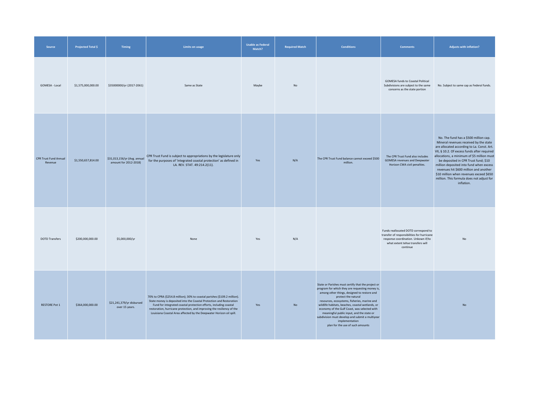| Source                                  | <b>Projected Total \$</b> | Timing                                                | <b>Limits on usage</b>                                                                                                                                                                                                                                                                                                                                                  | <b>Usable as Federal</b><br>Match? | <b>Required Match</b> | <b>Conditions</b>                                                                                                                                                                                                                                                                                                                                                                                                                                                                     | <b>Comments</b>                                                                                                                                                           | Adjusts with inflation?                                                                                                                                                                                                                                                                                                                                                                                                                                       |
|-----------------------------------------|---------------------------|-------------------------------------------------------|-------------------------------------------------------------------------------------------------------------------------------------------------------------------------------------------------------------------------------------------------------------------------------------------------------------------------------------------------------------------------|------------------------------------|-----------------------|---------------------------------------------------------------------------------------------------------------------------------------------------------------------------------------------------------------------------------------------------------------------------------------------------------------------------------------------------------------------------------------------------------------------------------------------------------------------------------------|---------------------------------------------------------------------------------------------------------------------------------------------------------------------------|---------------------------------------------------------------------------------------------------------------------------------------------------------------------------------------------------------------------------------------------------------------------------------------------------------------------------------------------------------------------------------------------------------------------------------------------------------------|
| GOMESA - Local                          | \$1,575,000,000.00        | \$35000000/yr (2017-2061)                             | Same as State                                                                                                                                                                                                                                                                                                                                                           | Maybe                              | No                    |                                                                                                                                                                                                                                                                                                                                                                                                                                                                                       | <b>GOMESA funds to Coastal Political</b><br>Subdivisions are subject to the same<br>concerns as the state portion                                                         | No. Subject to same cap as Federal funds.                                                                                                                                                                                                                                                                                                                                                                                                                     |
| <b>CPR Trust Fund Annual</b><br>Revenue | \$1,550,657,814.00        | \$31,013,156/yr (Avg. annual<br>amount for 2012-2018) | CPR Trust Fund is subject to appropriations by the legislature only<br>for the purposes of 'integrated coastal protection' as defined in<br>LA. REV. STAT. 49:214.2(11).                                                                                                                                                                                                | Yes                                | N/A                   | The CPR Trust Fund balance cannot exceed \$500<br>million.                                                                                                                                                                                                                                                                                                                                                                                                                            | The CPR Trust Fund also includes<br><b>GOMESA revenues and Deepwater</b><br>Horizon CWA civil penalties.                                                                  | No. The fund has a \$500 million cap.<br>Mineral revenues received by the state<br>are allocated according to La. Const. Art.<br>VII, § 10.2. Of excess funds after required<br>allocations, a minimum of \$5 million must<br>be deposited in CPR Trust fund; \$10<br>million deposited into fund when excess<br>revenues hit \$600 million and another<br>\$10 million when revenues exceed \$650<br>million. This formula does not adjust for<br>inflation. |
| <b>DOTD Transfers</b>                   | \$200,000,000.00          | \$5,000,000/yr                                        | None                                                                                                                                                                                                                                                                                                                                                                    | Yes                                | N/A                   |                                                                                                                                                                                                                                                                                                                                                                                                                                                                                       | Funds reallocated DOTD correspond to<br>transfer of responsibilities for hurricane<br>response coordination. Unkown if/to<br>what extent tehse transfers will<br>continue | No                                                                                                                                                                                                                                                                                                                                                                                                                                                            |
| <b>RESTORE Pot 1</b>                    | \$364,000,000.00          | \$21,241,379/yr disbursed<br>over 15 years.           | 70% to CPRA (\$254.8 million); 30% to coastal parishes (\$109.2 million).<br>State money is deposited into the Coastal Protection and Restoration<br>Fund for integrated coastal protection efforts, including coastal<br>restoration, hurricane protection, and improving the resiliency of the<br>Louisiana Coastal Area affected by the Deepwater Horizon oil spill. | Yes                                | <b>No</b>             | State or Parishes must certify that the project or<br>program for which they are requesting money is,<br>among other things, designed to restore and<br>protect the natural<br>resources, ecosystems, fisheries, marine and<br>wildlife habitats, beaches, coastal wetlands, or<br>economy of the Gulf Coast, was selected with<br>meaningful public input, and the state or<br>subdivision must develop and submit a multiyear<br>implementation<br>plan for the use of such amounts |                                                                                                                                                                           | No                                                                                                                                                                                                                                                                                                                                                                                                                                                            |